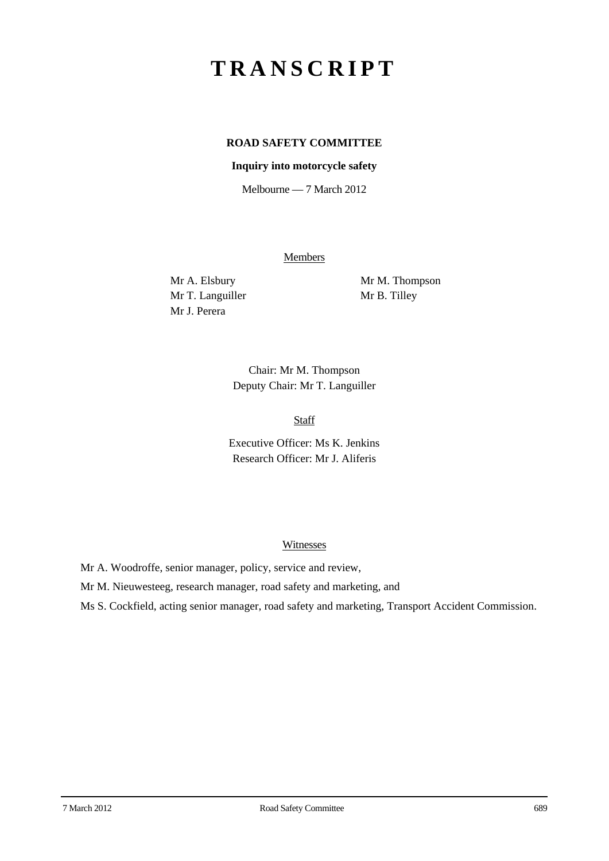# **TRANSCRIPT**

# **ROAD SAFETY COMMITTEE**

#### **Inquiry into motorcycle safety**

Melbourne — 7 March 2012

Members

Mr T. Languiller Mr B. Tilley Mr J. Perera

Mr A. Elsbury Mr M. Thompson

Chair: Mr M. Thompson Deputy Chair: Mr T. Languiller

Staff

Executive Officer: Ms K. Jenkins Research Officer: Mr J. Aliferis

#### Witnesses

Mr A. Woodroffe, senior manager, policy, service and review,

Mr M. Nieuwesteeg, research manager, road safety and marketing, and

Ms S. Cockfield, acting senior manager, road safety and marketing, Transport Accident Commission.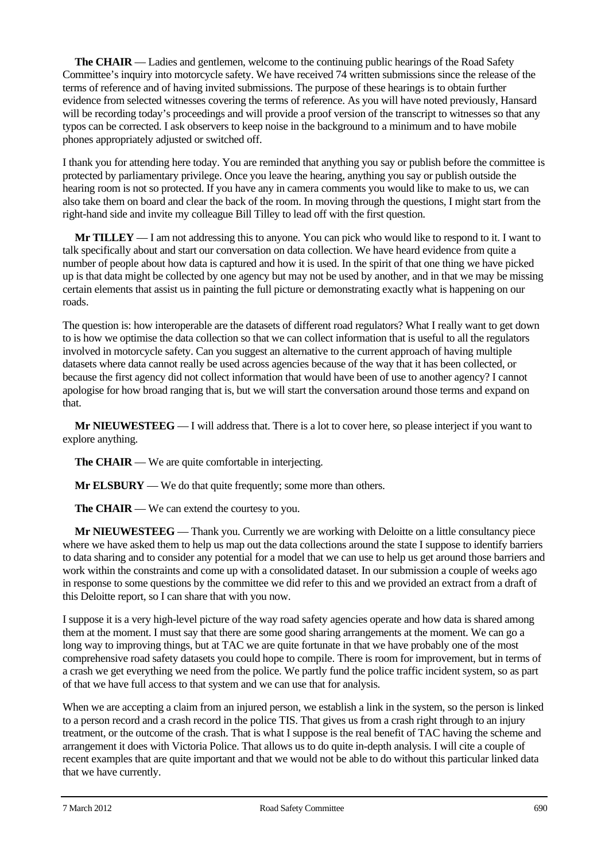**The CHAIR** — Ladies and gentlemen, welcome to the continuing public hearings of the Road Safety Committee's inquiry into motorcycle safety. We have received 74 written submissions since the release of the terms of reference and of having invited submissions. The purpose of these hearings is to obtain further evidence from selected witnesses covering the terms of reference. As you will have noted previously, Hansard will be recording today's proceedings and will provide a proof version of the transcript to witnesses so that any typos can be corrected. I ask observers to keep noise in the background to a minimum and to have mobile phones appropriately adjusted or switched off.

I thank you for attending here today. You are reminded that anything you say or publish before the committee is protected by parliamentary privilege. Once you leave the hearing, anything you say or publish outside the hearing room is not so protected. If you have any in camera comments you would like to make to us, we can also take them on board and clear the back of the room. In moving through the questions, I might start from the right-hand side and invite my colleague Bill Tilley to lead off with the first question.

**Mr TILLEY** — I am not addressing this to anyone. You can pick who would like to respond to it. I want to talk specifically about and start our conversation on data collection. We have heard evidence from quite a number of people about how data is captured and how it is used. In the spirit of that one thing we have picked up is that data might be collected by one agency but may not be used by another, and in that we may be missing certain elements that assist us in painting the full picture or demonstrating exactly what is happening on our roads.

The question is: how interoperable are the datasets of different road regulators? What I really want to get down to is how we optimise the data collection so that we can collect information that is useful to all the regulators involved in motorcycle safety. Can you suggest an alternative to the current approach of having multiple datasets where data cannot really be used across agencies because of the way that it has been collected, or because the first agency did not collect information that would have been of use to another agency? I cannot apologise for how broad ranging that is, but we will start the conversation around those terms and expand on that.

**Mr NIEUWESTEEG** — I will address that. There is a lot to cover here, so please interject if you want to explore anything.

**The CHAIR** — We are quite comfortable in interjecting.

**Mr ELSBURY** — We do that quite frequently; some more than others.

**The CHAIR** — We can extend the courtesy to you.

**Mr NIEUWESTEEG** — Thank you. Currently we are working with Deloitte on a little consultancy piece where we have asked them to help us map out the data collections around the state I suppose to identify barriers to data sharing and to consider any potential for a model that we can use to help us get around those barriers and work within the constraints and come up with a consolidated dataset. In our submission a couple of weeks ago in response to some questions by the committee we did refer to this and we provided an extract from a draft of this Deloitte report, so I can share that with you now.

I suppose it is a very high-level picture of the way road safety agencies operate and how data is shared among them at the moment. I must say that there are some good sharing arrangements at the moment. We can go a long way to improving things, but at TAC we are quite fortunate in that we have probably one of the most comprehensive road safety datasets you could hope to compile. There is room for improvement, but in terms of a crash we get everything we need from the police. We partly fund the police traffic incident system, so as part of that we have full access to that system and we can use that for analysis.

When we are accepting a claim from an injured person, we establish a link in the system, so the person is linked to a person record and a crash record in the police TIS. That gives us from a crash right through to an injury treatment, or the outcome of the crash. That is what I suppose is the real benefit of TAC having the scheme and arrangement it does with Victoria Police. That allows us to do quite in-depth analysis. I will cite a couple of recent examples that are quite important and that we would not be able to do without this particular linked data that we have currently.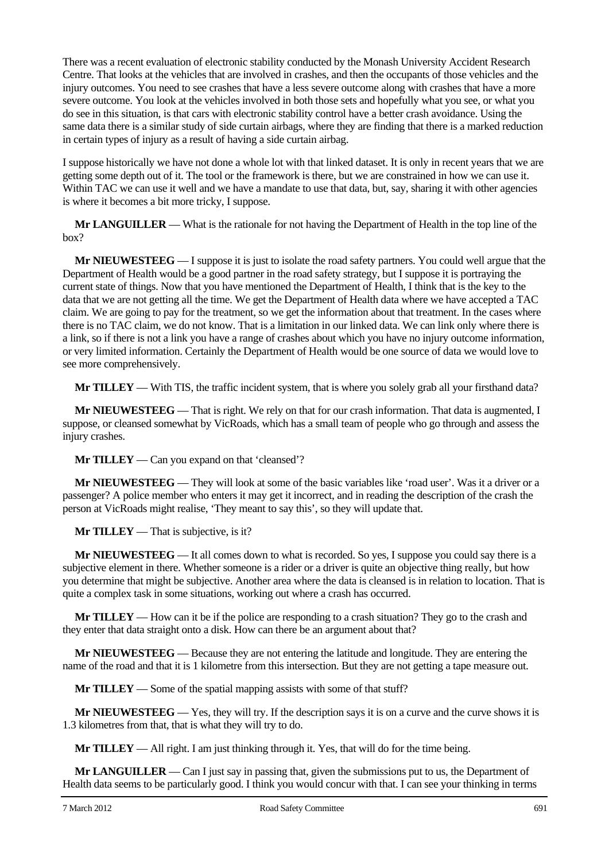There was a recent evaluation of electronic stability conducted by the Monash University Accident Research Centre. That looks at the vehicles that are involved in crashes, and then the occupants of those vehicles and the injury outcomes. You need to see crashes that have a less severe outcome along with crashes that have a more severe outcome. You look at the vehicles involved in both those sets and hopefully what you see, or what you do see in this situation, is that cars with electronic stability control have a better crash avoidance. Using the same data there is a similar study of side curtain airbags, where they are finding that there is a marked reduction in certain types of injury as a result of having a side curtain airbag.

I suppose historically we have not done a whole lot with that linked dataset. It is only in recent years that we are getting some depth out of it. The tool or the framework is there, but we are constrained in how we can use it. Within TAC we can use it well and we have a mandate to use that data, but, say, sharing it with other agencies is where it becomes a bit more tricky, I suppose.

**Mr LANGUILLER** — What is the rationale for not having the Department of Health in the top line of the box?

**Mr NIEUWESTEEG** — I suppose it is just to isolate the road safety partners. You could well argue that the Department of Health would be a good partner in the road safety strategy, but I suppose it is portraying the current state of things. Now that you have mentioned the Department of Health, I think that is the key to the data that we are not getting all the time. We get the Department of Health data where we have accepted a TAC claim. We are going to pay for the treatment, so we get the information about that treatment. In the cases where there is no TAC claim, we do not know. That is a limitation in our linked data. We can link only where there is a link, so if there is not a link you have a range of crashes about which you have no injury outcome information, or very limited information. Certainly the Department of Health would be one source of data we would love to see more comprehensively.

**Mr TILLEY** — With TIS, the traffic incident system, that is where you solely grab all your firsthand data?

**Mr NIEUWESTEEG** — That is right. We rely on that for our crash information. That data is augmented, I suppose, or cleansed somewhat by VicRoads, which has a small team of people who go through and assess the injury crashes.

**Mr TILLEY** — Can you expand on that 'cleansed'?

**Mr NIEUWESTEEG** — They will look at some of the basic variables like 'road user'. Was it a driver or a passenger? A police member who enters it may get it incorrect, and in reading the description of the crash the person at VicRoads might realise, 'They meant to say this', so they will update that.

**Mr TILLEY** — That is subjective, is it?

**Mr NIEUWESTEEG** — It all comes down to what is recorded. So yes, I suppose you could say there is a subjective element in there. Whether someone is a rider or a driver is quite an objective thing really, but how you determine that might be subjective. Another area where the data is cleansed is in relation to location. That is quite a complex task in some situations, working out where a crash has occurred.

**Mr TILLEY** — How can it be if the police are responding to a crash situation? They go to the crash and they enter that data straight onto a disk. How can there be an argument about that?

**Mr NIEUWESTEEG** — Because they are not entering the latitude and longitude. They are entering the name of the road and that it is 1 kilometre from this intersection. But they are not getting a tape measure out.

**Mr TILLEY** — Some of the spatial mapping assists with some of that stuff?

**Mr NIEUWESTEEG** — Yes, they will try. If the description says it is on a curve and the curve shows it is 1.3 kilometres from that, that is what they will try to do.

**Mr TILLEY** — All right. I am just thinking through it. Yes, that will do for the time being.

**Mr LANGUILLER** — Can I just say in passing that, given the submissions put to us, the Department of Health data seems to be particularly good. I think you would concur with that. I can see your thinking in terms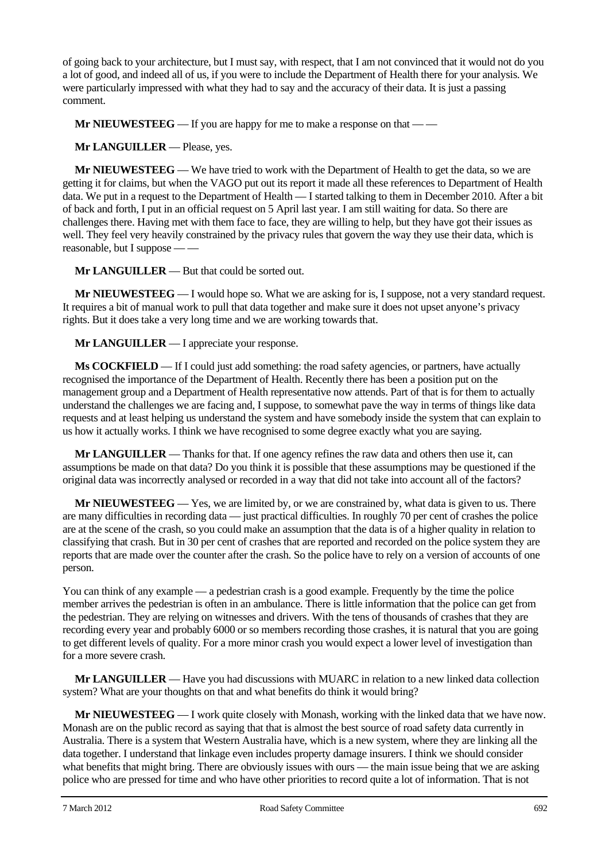of going back to your architecture, but I must say, with respect, that I am not convinced that it would not do you a lot of good, and indeed all of us, if you were to include the Department of Health there for your analysis. We were particularly impressed with what they had to say and the accuracy of their data. It is just a passing comment.

**Mr NIEUWESTEEG** — If you are happy for me to make a response on that — —

**Mr LANGUILLER** — Please, yes.

**Mr NIEUWESTEEG** — We have tried to work with the Department of Health to get the data, so we are getting it for claims, but when the VAGO put out its report it made all these references to Department of Health data. We put in a request to the Department of Health — I started talking to them in December 2010. After a bit of back and forth, I put in an official request on 5 April last year. I am still waiting for data. So there are challenges there. Having met with them face to face, they are willing to help, but they have got their issues as well. They feel very heavily constrained by the privacy rules that govern the way they use their data, which is reasonable, but I suppose — —

**Mr LANGUILLER** — But that could be sorted out.

**Mr NIEUWESTEEG** — I would hope so. What we are asking for is, I suppose, not a very standard request. It requires a bit of manual work to pull that data together and make sure it does not upset anyone's privacy rights. But it does take a very long time and we are working towards that.

**Mr LANGUILLER** — I appreciate your response.

**Ms COCKFIELD** — If I could just add something: the road safety agencies, or partners, have actually recognised the importance of the Department of Health. Recently there has been a position put on the management group and a Department of Health representative now attends. Part of that is for them to actually understand the challenges we are facing and, I suppose, to somewhat pave the way in terms of things like data requests and at least helping us understand the system and have somebody inside the system that can explain to us how it actually works. I think we have recognised to some degree exactly what you are saying.

**Mr LANGUILLER** — Thanks for that. If one agency refines the raw data and others then use it, can assumptions be made on that data? Do you think it is possible that these assumptions may be questioned if the original data was incorrectly analysed or recorded in a way that did not take into account all of the factors?

**Mr NIEUWESTEEG** — Yes, we are limited by, or we are constrained by, what data is given to us. There are many difficulties in recording data — just practical difficulties. In roughly 70 per cent of crashes the police are at the scene of the crash, so you could make an assumption that the data is of a higher quality in relation to classifying that crash. But in 30 per cent of crashes that are reported and recorded on the police system they are reports that are made over the counter after the crash. So the police have to rely on a version of accounts of one person.

You can think of any example — a pedestrian crash is a good example. Frequently by the time the police member arrives the pedestrian is often in an ambulance. There is little information that the police can get from the pedestrian. They are relying on witnesses and drivers. With the tens of thousands of crashes that they are recording every year and probably 6000 or so members recording those crashes, it is natural that you are going to get different levels of quality. For a more minor crash you would expect a lower level of investigation than for a more severe crash.

**Mr LANGUILLER** — Have you had discussions with MUARC in relation to a new linked data collection system? What are your thoughts on that and what benefits do think it would bring?

**Mr NIEUWESTEEG** — I work quite closely with Monash, working with the linked data that we have now. Monash are on the public record as saying that that is almost the best source of road safety data currently in Australia. There is a system that Western Australia have, which is a new system, where they are linking all the data together. I understand that linkage even includes property damage insurers. I think we should consider what benefits that might bring. There are obviously issues with ours — the main issue being that we are asking police who are pressed for time and who have other priorities to record quite a lot of information. That is not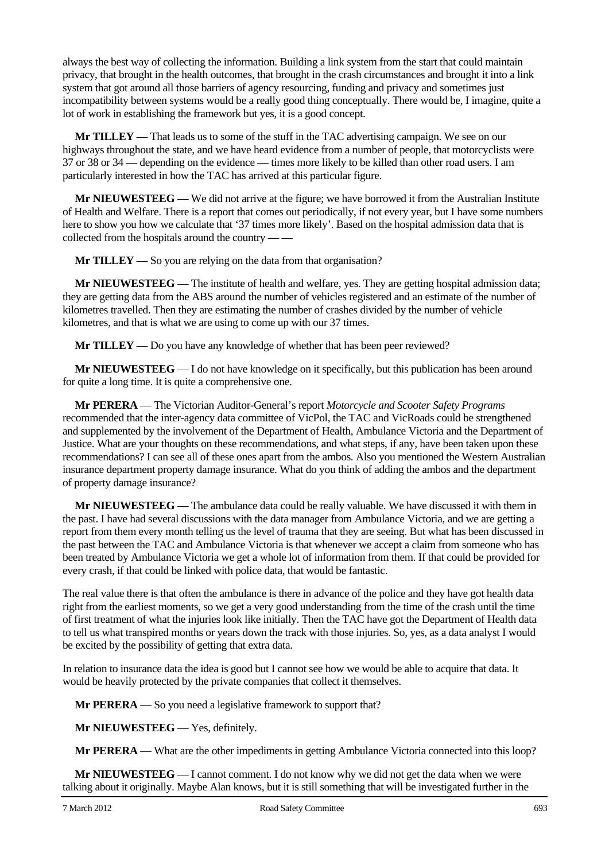always the best way of collecting the information. Building a link system from the start that could maintain privacy, that brought in the health outcomes, that brought in the crash circumstances and brought it into a link system that got around all those barriers of agency resourcing, funding and privacy and sometimes just incompatibility between systems would be a really good thing conceptually. There would be, I imagine, quite a lot of work in establishing the framework but yes, it is a good concept.

**Mr TILLEY** — That leads us to some of the stuff in the TAC advertising campaign. We see on our highways throughout the state, and we have heard evidence from a number of people, that motorcyclists were 37 or 38 or 34 — depending on the evidence — times more likely to be killed than other road users. I am particularly interested in how the TAC has arrived at this particular figure.

**Mr NIEUWESTEEG** — We did not arrive at the figure; we have borrowed it from the Australian Institute of Health and Welfare. There is a report that comes out periodically, if not every year, but I have some numbers here to show you how we calculate that '37 times more likely'. Based on the hospital admission data that is collected from the hospitals around the country — —

**Mr TILLEY** — So you are relying on the data from that organisation?

**Mr NIEUWESTEEG** — The institute of health and welfare, yes. They are getting hospital admission data; they are getting data from the ABS around the number of vehicles registered and an estimate of the number of kilometres travelled. Then they are estimating the number of crashes divided by the number of vehicle kilometres, and that is what we are using to come up with our 37 times.

**Mr TILLEY** — Do you have any knowledge of whether that has been peer reviewed?

**Mr NIEUWESTEEG** — I do not have knowledge on it specifically, but this publication has been around for quite a long time. It is quite a comprehensive one.

**Mr PERERA** — The Victorian Auditor-General's report *Motorcycle and Scooter Safety Programs* recommended that the inter-agency data committee of VicPol, the TAC and VicRoads could be strengthened and supplemented by the involvement of the Department of Health, Ambulance Victoria and the Department of Justice. What are your thoughts on these recommendations, and what steps, if any, have been taken upon these recommendations? I can see all of these ones apart from the ambos. Also you mentioned the Western Australian insurance department property damage insurance. What do you think of adding the ambos and the department of property damage insurance?

**Mr NIEUWESTEEG** — The ambulance data could be really valuable. We have discussed it with them in the past. I have had several discussions with the data manager from Ambulance Victoria, and we are getting a report from them every month telling us the level of trauma that they are seeing. But what has been discussed in the past between the TAC and Ambulance Victoria is that whenever we accept a claim from someone who has been treated by Ambulance Victoria we get a whole lot of information from them. If that could be provided for every crash, if that could be linked with police data, that would be fantastic.

The real value there is that often the ambulance is there in advance of the police and they have got health data right from the earliest moments, so we get a very good understanding from the time of the crash until the time of first treatment of what the injuries look like initially. Then the TAC have got the Department of Health data to tell us what transpired months or years down the track with those injuries. So, yes, as a data analyst I would be excited by the possibility of getting that extra data.

In relation to insurance data the idea is good but I cannot see how we would be able to acquire that data. It would be heavily protected by the private companies that collect it themselves.

**Mr PERERA** — So you need a legislative framework to support that?

**Mr NIEUWESTEEG** — Yes, definitely.

**Mr PERERA** — What are the other impediments in getting Ambulance Victoria connected into this loop?

**Mr NIEUWESTEEG** — I cannot comment. I do not know why we did not get the data when we were talking about it originally. Maybe Alan knows, but it is still something that will be investigated further in the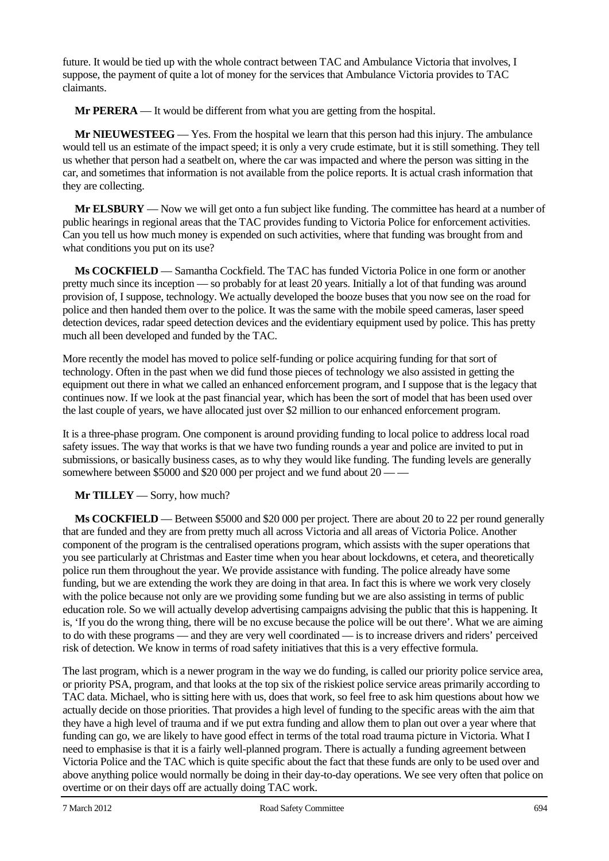future. It would be tied up with the whole contract between TAC and Ambulance Victoria that involves, I suppose, the payment of quite a lot of money for the services that Ambulance Victoria provides to TAC claimants.

**Mr PERERA** — It would be different from what you are getting from the hospital.

**Mr NIEUWESTEEG** — Yes. From the hospital we learn that this person had this injury. The ambulance would tell us an estimate of the impact speed; it is only a very crude estimate, but it is still something. They tell us whether that person had a seatbelt on, where the car was impacted and where the person was sitting in the car, and sometimes that information is not available from the police reports. It is actual crash information that they are collecting.

**Mr ELSBURY** — Now we will get onto a fun subject like funding. The committee has heard at a number of public hearings in regional areas that the TAC provides funding to Victoria Police for enforcement activities. Can you tell us how much money is expended on such activities, where that funding was brought from and what conditions you put on its use?

**Ms COCKFIELD** — Samantha Cockfield. The TAC has funded Victoria Police in one form or another pretty much since its inception — so probably for at least 20 years. Initially a lot of that funding was around provision of, I suppose, technology. We actually developed the booze buses that you now see on the road for police and then handed them over to the police. It was the same with the mobile speed cameras, laser speed detection devices, radar speed detection devices and the evidentiary equipment used by police. This has pretty much all been developed and funded by the TAC.

More recently the model has moved to police self-funding or police acquiring funding for that sort of technology. Often in the past when we did fund those pieces of technology we also assisted in getting the equipment out there in what we called an enhanced enforcement program, and I suppose that is the legacy that continues now. If we look at the past financial year, which has been the sort of model that has been used over the last couple of years, we have allocated just over \$2 million to our enhanced enforcement program.

It is a three-phase program. One component is around providing funding to local police to address local road safety issues. The way that works is that we have two funding rounds a year and police are invited to put in submissions, or basically business cases, as to why they would like funding. The funding levels are generally somewhere between \$5000 and \$20 000 per project and we fund about 20 — —

**Mr TILLEY** — Sorry, how much?

**Ms COCKFIELD** — Between \$5000 and \$20 000 per project. There are about 20 to 22 per round generally that are funded and they are from pretty much all across Victoria and all areas of Victoria Police. Another component of the program is the centralised operations program, which assists with the super operations that you see particularly at Christmas and Easter time when you hear about lockdowns, et cetera, and theoretically police run them throughout the year. We provide assistance with funding. The police already have some funding, but we are extending the work they are doing in that area. In fact this is where we work very closely with the police because not only are we providing some funding but we are also assisting in terms of public education role. So we will actually develop advertising campaigns advising the public that this is happening. It is, 'If you do the wrong thing, there will be no excuse because the police will be out there'. What we are aiming to do with these programs — and they are very well coordinated — is to increase drivers and riders' perceived risk of detection. We know in terms of road safety initiatives that this is a very effective formula.

The last program, which is a newer program in the way we do funding, is called our priority police service area, or priority PSA, program, and that looks at the top six of the riskiest police service areas primarily according to TAC data. Michael, who is sitting here with us, does that work, so feel free to ask him questions about how we actually decide on those priorities. That provides a high level of funding to the specific areas with the aim that they have a high level of trauma and if we put extra funding and allow them to plan out over a year where that funding can go, we are likely to have good effect in terms of the total road trauma picture in Victoria. What I need to emphasise is that it is a fairly well-planned program. There is actually a funding agreement between Victoria Police and the TAC which is quite specific about the fact that these funds are only to be used over and above anything police would normally be doing in their day-to-day operations. We see very often that police on overtime or on their days off are actually doing TAC work.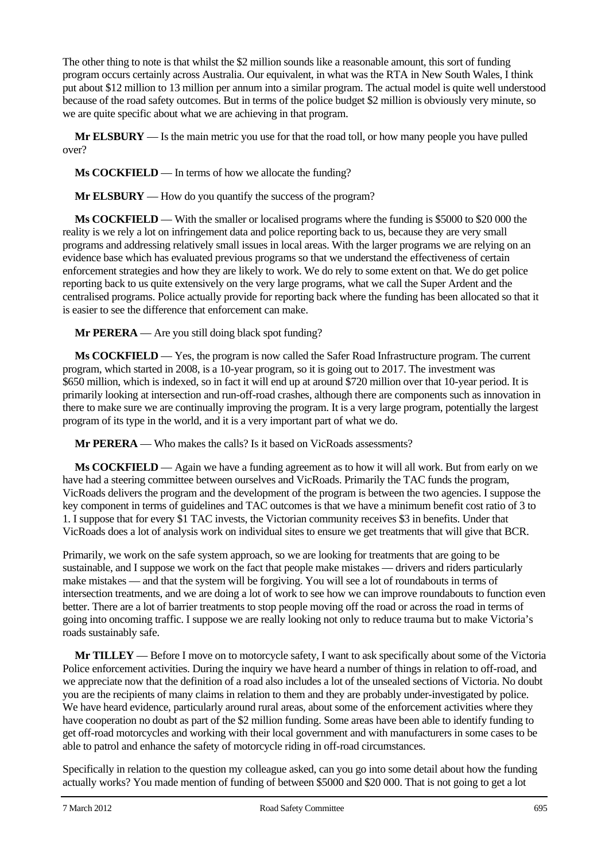The other thing to note is that whilst the \$2 million sounds like a reasonable amount, this sort of funding program occurs certainly across Australia. Our equivalent, in what was the RTA in New South Wales, I think put about \$12 million to 13 million per annum into a similar program. The actual model is quite well understood because of the road safety outcomes. But in terms of the police budget \$2 million is obviously very minute, so we are quite specific about what we are achieving in that program.

**Mr ELSBURY** — Is the main metric you use for that the road toll, or how many people you have pulled over?

**Ms COCKFIELD** — In terms of how we allocate the funding?

**Mr ELSBURY** — How do you quantify the success of the program?

**Ms COCKFIELD** — With the smaller or localised programs where the funding is \$5000 to \$20 000 the reality is we rely a lot on infringement data and police reporting back to us, because they are very small programs and addressing relatively small issues in local areas. With the larger programs we are relying on an evidence base which has evaluated previous programs so that we understand the effectiveness of certain enforcement strategies and how they are likely to work. We do rely to some extent on that. We do get police reporting back to us quite extensively on the very large programs, what we call the Super Ardent and the centralised programs. Police actually provide for reporting back where the funding has been allocated so that it is easier to see the difference that enforcement can make.

**Mr PERERA** — Are you still doing black spot funding?

**Ms COCKFIELD** — Yes, the program is now called the Safer Road Infrastructure program. The current program, which started in 2008, is a 10-year program, so it is going out to 2017. The investment was \$650 million, which is indexed, so in fact it will end up at around \$720 million over that 10-year period. It is primarily looking at intersection and run-off-road crashes, although there are components such as innovation in there to make sure we are continually improving the program. It is a very large program, potentially the largest program of its type in the world, and it is a very important part of what we do.

**Mr PERERA** — Who makes the calls? Is it based on VicRoads assessments?

**Ms COCKFIELD** — Again we have a funding agreement as to how it will all work. But from early on we have had a steering committee between ourselves and VicRoads. Primarily the TAC funds the program, VicRoads delivers the program and the development of the program is between the two agencies. I suppose the key component in terms of guidelines and TAC outcomes is that we have a minimum benefit cost ratio of 3 to 1. I suppose that for every \$1 TAC invests, the Victorian community receives \$3 in benefits. Under that VicRoads does a lot of analysis work on individual sites to ensure we get treatments that will give that BCR.

Primarily, we work on the safe system approach, so we are looking for treatments that are going to be sustainable, and I suppose we work on the fact that people make mistakes — drivers and riders particularly make mistakes — and that the system will be forgiving. You will see a lot of roundabouts in terms of intersection treatments, and we are doing a lot of work to see how we can improve roundabouts to function even better. There are a lot of barrier treatments to stop people moving off the road or across the road in terms of going into oncoming traffic. I suppose we are really looking not only to reduce trauma but to make Victoria's roads sustainably safe.

**Mr TILLEY** — Before I move on to motorcycle safety, I want to ask specifically about some of the Victoria Police enforcement activities. During the inquiry we have heard a number of things in relation to off-road, and we appreciate now that the definition of a road also includes a lot of the unsealed sections of Victoria. No doubt you are the recipients of many claims in relation to them and they are probably under-investigated by police. We have heard evidence, particularly around rural areas, about some of the enforcement activities where they have cooperation no doubt as part of the \$2 million funding. Some areas have been able to identify funding to get off-road motorcycles and working with their local government and with manufacturers in some cases to be able to patrol and enhance the safety of motorcycle riding in off-road circumstances.

Specifically in relation to the question my colleague asked, can you go into some detail about how the funding actually works? You made mention of funding of between \$5000 and \$20 000. That is not going to get a lot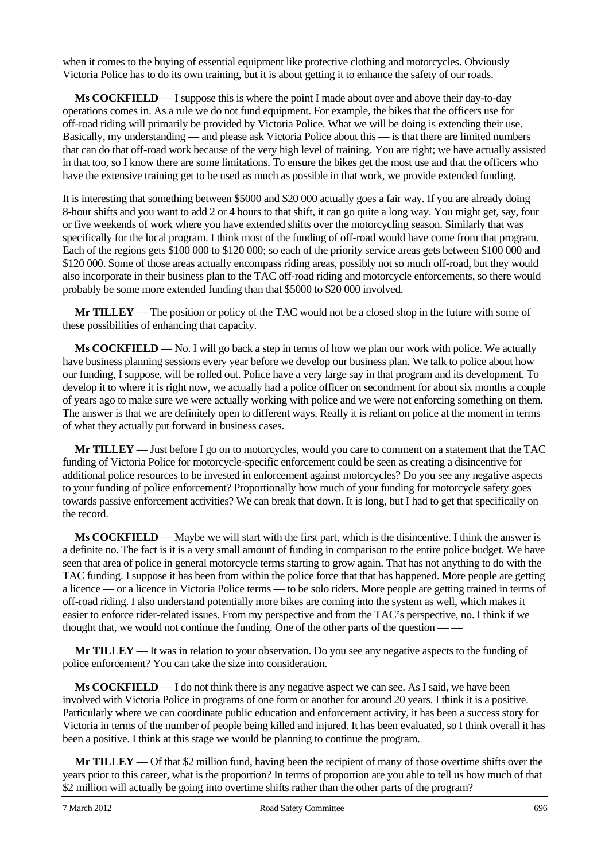when it comes to the buying of essential equipment like protective clothing and motorcycles. Obviously Victoria Police has to do its own training, but it is about getting it to enhance the safety of our roads.

**Ms COCKFIELD** — I suppose this is where the point I made about over and above their day-to-day operations comes in. As a rule we do not fund equipment. For example, the bikes that the officers use for off-road riding will primarily be provided by Victoria Police. What we will be doing is extending their use. Basically, my understanding — and please ask Victoria Police about this — is that there are limited numbers that can do that off-road work because of the very high level of training. You are right; we have actually assisted in that too, so I know there are some limitations. To ensure the bikes get the most use and that the officers who have the extensive training get to be used as much as possible in that work, we provide extended funding.

It is interesting that something between \$5000 and \$20 000 actually goes a fair way. If you are already doing 8-hour shifts and you want to add 2 or 4 hours to that shift, it can go quite a long way. You might get, say, four or five weekends of work where you have extended shifts over the motorcycling season. Similarly that was specifically for the local program. I think most of the funding of off-road would have come from that program. Each of the regions gets \$100 000 to \$120 000; so each of the priority service areas gets between \$100 000 and \$120 000. Some of those areas actually encompass riding areas, possibly not so much off-road, but they would also incorporate in their business plan to the TAC off-road riding and motorcycle enforcements, so there would probably be some more extended funding than that \$5000 to \$20 000 involved.

**Mr TILLEY** — The position or policy of the TAC would not be a closed shop in the future with some of these possibilities of enhancing that capacity.

**Ms COCKFIELD** — No. I will go back a step in terms of how we plan our work with police. We actually have business planning sessions every year before we develop our business plan. We talk to police about how our funding, I suppose, will be rolled out. Police have a very large say in that program and its development. To develop it to where it is right now, we actually had a police officer on secondment for about six months a couple of years ago to make sure we were actually working with police and we were not enforcing something on them. The answer is that we are definitely open to different ways. Really it is reliant on police at the moment in terms of what they actually put forward in business cases.

**Mr TILLEY** — Just before I go on to motorcycles, would you care to comment on a statement that the TAC funding of Victoria Police for motorcycle-specific enforcement could be seen as creating a disincentive for additional police resources to be invested in enforcement against motorcycles? Do you see any negative aspects to your funding of police enforcement? Proportionally how much of your funding for motorcycle safety goes towards passive enforcement activities? We can break that down. It is long, but I had to get that specifically on the record.

**Ms COCKFIELD** — Maybe we will start with the first part, which is the disincentive. I think the answer is a definite no. The fact is it is a very small amount of funding in comparison to the entire police budget. We have seen that area of police in general motorcycle terms starting to grow again. That has not anything to do with the TAC funding. I suppose it has been from within the police force that that has happened. More people are getting a licence — or a licence in Victoria Police terms — to be solo riders. More people are getting trained in terms of off-road riding. I also understand potentially more bikes are coming into the system as well, which makes it easier to enforce rider-related issues. From my perspective and from the TAC's perspective, no. I think if we thought that, we would not continue the funding. One of the other parts of the question —

**Mr TILLEY** — It was in relation to your observation. Do you see any negative aspects to the funding of police enforcement? You can take the size into consideration.

**Ms COCKFIELD** — I do not think there is any negative aspect we can see. As I said, we have been involved with Victoria Police in programs of one form or another for around 20 years. I think it is a positive. Particularly where we can coordinate public education and enforcement activity, it has been a success story for Victoria in terms of the number of people being killed and injured. It has been evaluated, so I think overall it has been a positive. I think at this stage we would be planning to continue the program.

**Mr TILLEY** — Of that \$2 million fund, having been the recipient of many of those overtime shifts over the years prior to this career, what is the proportion? In terms of proportion are you able to tell us how much of that \$2 million will actually be going into overtime shifts rather than the other parts of the program?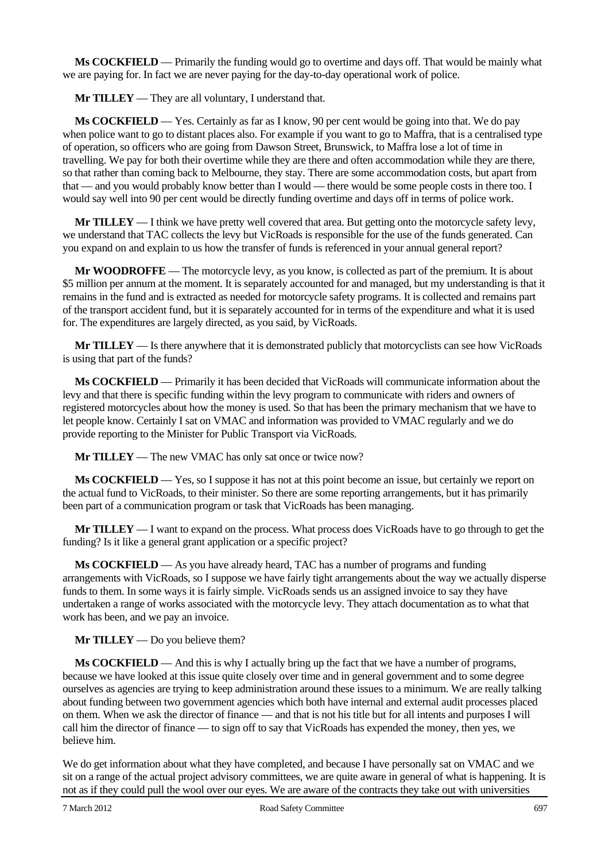**Ms COCKFIELD** — Primarily the funding would go to overtime and days off. That would be mainly what we are paying for. In fact we are never paying for the day-to-day operational work of police.

**Mr TILLEY** — They are all voluntary, I understand that.

**Ms COCKFIELD** — Yes. Certainly as far as I know, 90 per cent would be going into that. We do pay when police want to go to distant places also. For example if you want to go to Maffra, that is a centralised type of operation, so officers who are going from Dawson Street, Brunswick, to Maffra lose a lot of time in travelling. We pay for both their overtime while they are there and often accommodation while they are there, so that rather than coming back to Melbourne, they stay. There are some accommodation costs, but apart from that — and you would probably know better than I would — there would be some people costs in there too. I would say well into 90 per cent would be directly funding overtime and days off in terms of police work.

**Mr TILLEY** — I think we have pretty well covered that area. But getting onto the motorcycle safety levy, we understand that TAC collects the levy but VicRoads is responsible for the use of the funds generated. Can you expand on and explain to us how the transfer of funds is referenced in your annual general report?

**Mr WOODROFFE** — The motorcycle levy, as you know, is collected as part of the premium. It is about \$5 million per annum at the moment. It is separately accounted for and managed, but my understanding is that it remains in the fund and is extracted as needed for motorcycle safety programs. It is collected and remains part of the transport accident fund, but it is separately accounted for in terms of the expenditure and what it is used for. The expenditures are largely directed, as you said, by VicRoads.

**Mr TILLEY** — Is there anywhere that it is demonstrated publicly that motorcyclists can see how VicRoads is using that part of the funds?

**Ms COCKFIELD** — Primarily it has been decided that VicRoads will communicate information about the levy and that there is specific funding within the levy program to communicate with riders and owners of registered motorcycles about how the money is used. So that has been the primary mechanism that we have to let people know. Certainly I sat on VMAC and information was provided to VMAC regularly and we do provide reporting to the Minister for Public Transport via VicRoads.

**Mr TILLEY** — The new VMAC has only sat once or twice now?

**Ms COCKFIELD** — Yes, so I suppose it has not at this point become an issue, but certainly we report on the actual fund to VicRoads, to their minister. So there are some reporting arrangements, but it has primarily been part of a communication program or task that VicRoads has been managing.

**Mr TILLEY** — I want to expand on the process. What process does VicRoads have to go through to get the funding? Is it like a general grant application or a specific project?

**Ms COCKFIELD** — As you have already heard, TAC has a number of programs and funding arrangements with VicRoads, so I suppose we have fairly tight arrangements about the way we actually disperse funds to them. In some ways it is fairly simple. VicRoads sends us an assigned invoice to say they have undertaken a range of works associated with the motorcycle levy. They attach documentation as to what that work has been, and we pay an invoice.

**Mr TILLEY** — Do you believe them?

**Ms COCKFIELD** — And this is why I actually bring up the fact that we have a number of programs, because we have looked at this issue quite closely over time and in general government and to some degree ourselves as agencies are trying to keep administration around these issues to a minimum. We are really talking about funding between two government agencies which both have internal and external audit processes placed on them. When we ask the director of finance — and that is not his title but for all intents and purposes I will call him the director of finance — to sign off to say that VicRoads has expended the money, then yes, we believe him.

We do get information about what they have completed, and because I have personally sat on VMAC and we sit on a range of the actual project advisory committees, we are quite aware in general of what is happening. It is not as if they could pull the wool over our eyes. We are aware of the contracts they take out with universities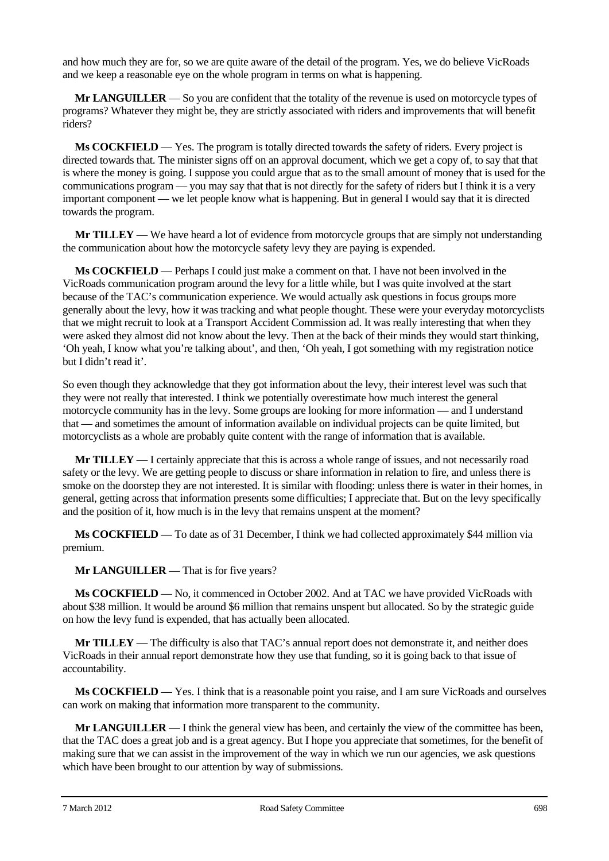and how much they are for, so we are quite aware of the detail of the program. Yes, we do believe VicRoads and we keep a reasonable eye on the whole program in terms on what is happening.

**Mr LANGUILLER** — So you are confident that the totality of the revenue is used on motorcycle types of programs? Whatever they might be, they are strictly associated with riders and improvements that will benefit riders?

**Ms COCKFIELD** — Yes. The program is totally directed towards the safety of riders. Every project is directed towards that. The minister signs off on an approval document, which we get a copy of, to say that that is where the money is going. I suppose you could argue that as to the small amount of money that is used for the communications program — you may say that that is not directly for the safety of riders but I think it is a very important component — we let people know what is happening. But in general I would say that it is directed towards the program.

**Mr TILLEY** — We have heard a lot of evidence from motorcycle groups that are simply not understanding the communication about how the motorcycle safety levy they are paying is expended.

**Ms COCKFIELD** — Perhaps I could just make a comment on that. I have not been involved in the VicRoads communication program around the levy for a little while, but I was quite involved at the start because of the TAC's communication experience. We would actually ask questions in focus groups more generally about the levy, how it was tracking and what people thought. These were your everyday motorcyclists that we might recruit to look at a Transport Accident Commission ad. It was really interesting that when they were asked they almost did not know about the levy. Then at the back of their minds they would start thinking, 'Oh yeah, I know what you're talking about', and then, 'Oh yeah, I got something with my registration notice but I didn't read it'.

So even though they acknowledge that they got information about the levy, their interest level was such that they were not really that interested. I think we potentially overestimate how much interest the general motorcycle community has in the levy. Some groups are looking for more information — and I understand that — and sometimes the amount of information available on individual projects can be quite limited, but motorcyclists as a whole are probably quite content with the range of information that is available.

**Mr TILLEY** — I certainly appreciate that this is across a whole range of issues, and not necessarily road safety or the levy. We are getting people to discuss or share information in relation to fire, and unless there is smoke on the doorstep they are not interested. It is similar with flooding: unless there is water in their homes, in general, getting across that information presents some difficulties; I appreciate that. But on the levy specifically and the position of it, how much is in the levy that remains unspent at the moment?

**Ms COCKFIELD** — To date as of 31 December, I think we had collected approximately \$44 million via premium.

**Mr LANGUILLER** — That is for five years?

**Ms COCKFIELD** — No, it commenced in October 2002. And at TAC we have provided VicRoads with about \$38 million. It would be around \$6 million that remains unspent but allocated. So by the strategic guide on how the levy fund is expended, that has actually been allocated.

**Mr TILLEY** — The difficulty is also that TAC's annual report does not demonstrate it, and neither does VicRoads in their annual report demonstrate how they use that funding, so it is going back to that issue of accountability.

**Ms COCKFIELD** — Yes. I think that is a reasonable point you raise, and I am sure VicRoads and ourselves can work on making that information more transparent to the community.

**Mr LANGUILLER** — I think the general view has been, and certainly the view of the committee has been, that the TAC does a great job and is a great agency. But I hope you appreciate that sometimes, for the benefit of making sure that we can assist in the improvement of the way in which we run our agencies, we ask questions which have been brought to our attention by way of submissions.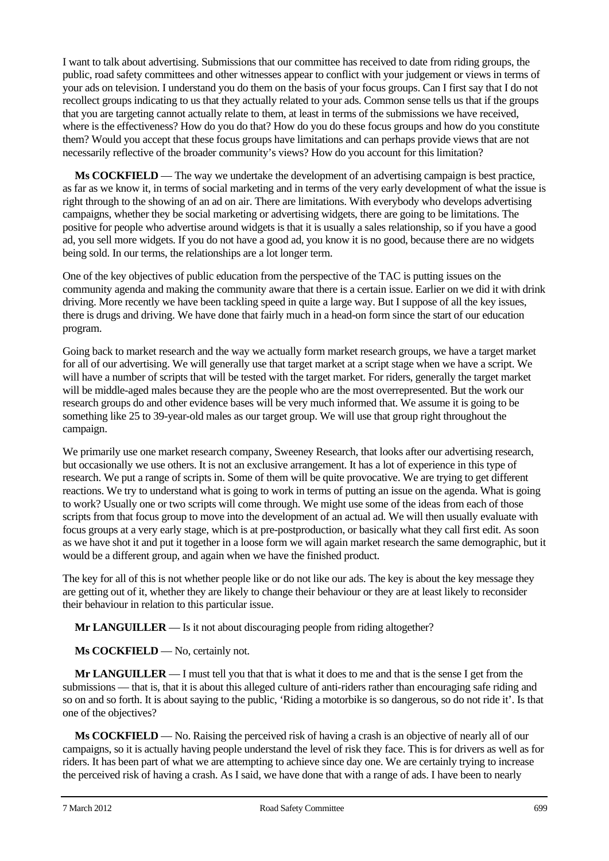I want to talk about advertising. Submissions that our committee has received to date from riding groups, the public, road safety committees and other witnesses appear to conflict with your judgement or views in terms of your ads on television. I understand you do them on the basis of your focus groups. Can I first say that I do not recollect groups indicating to us that they actually related to your ads. Common sense tells us that if the groups that you are targeting cannot actually relate to them, at least in terms of the submissions we have received, where is the effectiveness? How do you do that? How do you do these focus groups and how do you constitute them? Would you accept that these focus groups have limitations and can perhaps provide views that are not necessarily reflective of the broader community's views? How do you account for this limitation?

**Ms COCKFIELD** — The way we undertake the development of an advertising campaign is best practice, as far as we know it, in terms of social marketing and in terms of the very early development of what the issue is right through to the showing of an ad on air. There are limitations. With everybody who develops advertising campaigns, whether they be social marketing or advertising widgets, there are going to be limitations. The positive for people who advertise around widgets is that it is usually a sales relationship, so if you have a good ad, you sell more widgets. If you do not have a good ad, you know it is no good, because there are no widgets being sold. In our terms, the relationships are a lot longer term.

One of the key objectives of public education from the perspective of the TAC is putting issues on the community agenda and making the community aware that there is a certain issue. Earlier on we did it with drink driving. More recently we have been tackling speed in quite a large way. But I suppose of all the key issues, there is drugs and driving. We have done that fairly much in a head-on form since the start of our education program.

Going back to market research and the way we actually form market research groups, we have a target market for all of our advertising. We will generally use that target market at a script stage when we have a script. We will have a number of scripts that will be tested with the target market. For riders, generally the target market will be middle-aged males because they are the people who are the most overrepresented. But the work our research groups do and other evidence bases will be very much informed that. We assume it is going to be something like 25 to 39-year-old males as our target group. We will use that group right throughout the campaign.

We primarily use one market research company, Sweeney Research, that looks after our advertising research, but occasionally we use others. It is not an exclusive arrangement. It has a lot of experience in this type of research. We put a range of scripts in. Some of them will be quite provocative. We are trying to get different reactions. We try to understand what is going to work in terms of putting an issue on the agenda. What is going to work? Usually one or two scripts will come through. We might use some of the ideas from each of those scripts from that focus group to move into the development of an actual ad. We will then usually evaluate with focus groups at a very early stage, which is at pre-postproduction, or basically what they call first edit. As soon as we have shot it and put it together in a loose form we will again market research the same demographic, but it would be a different group, and again when we have the finished product.

The key for all of this is not whether people like or do not like our ads. The key is about the key message they are getting out of it, whether they are likely to change their behaviour or they are at least likely to reconsider their behaviour in relation to this particular issue.

**Mr LANGUILLER** — Is it not about discouraging people from riding altogether?

**Ms COCKFIELD** — No, certainly not.

**Mr LANGUILLER** — I must tell you that that is what it does to me and that is the sense I get from the submissions — that is, that it is about this alleged culture of anti-riders rather than encouraging safe riding and so on and so forth. It is about saying to the public, 'Riding a motorbike is so dangerous, so do not ride it'. Is that one of the objectives?

**Ms COCKFIELD** — No. Raising the perceived risk of having a crash is an objective of nearly all of our campaigns, so it is actually having people understand the level of risk they face. This is for drivers as well as for riders. It has been part of what we are attempting to achieve since day one. We are certainly trying to increase the perceived risk of having a crash. As I said, we have done that with a range of ads. I have been to nearly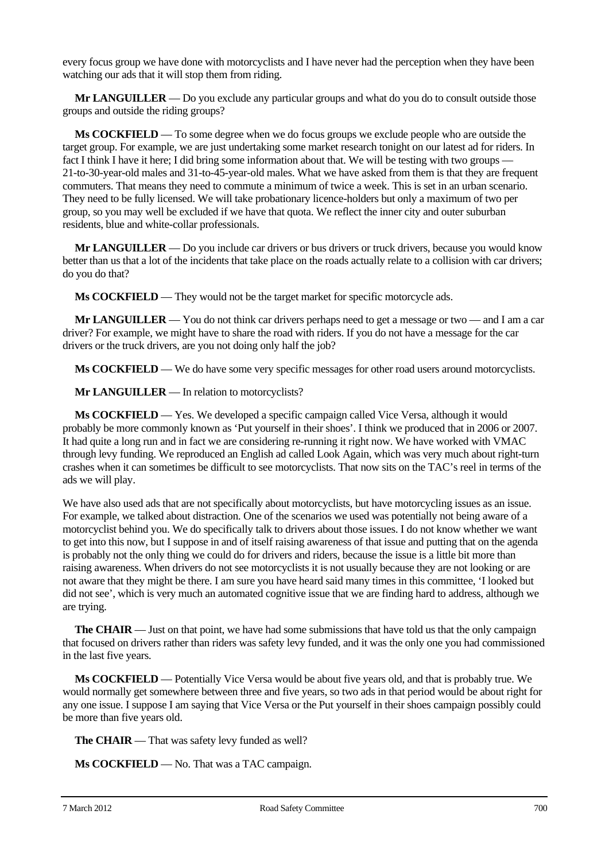every focus group we have done with motorcyclists and I have never had the perception when they have been watching our ads that it will stop them from riding.

**Mr LANGUILLER** — Do you exclude any particular groups and what do you do to consult outside those groups and outside the riding groups?

**Ms COCKFIELD** — To some degree when we do focus groups we exclude people who are outside the target group. For example, we are just undertaking some market research tonight on our latest ad for riders. In fact I think I have it here; I did bring some information about that. We will be testing with two groups -21-to-30-year-old males and 31-to-45-year-old males. What we have asked from them is that they are frequent commuters. That means they need to commute a minimum of twice a week. This is set in an urban scenario. They need to be fully licensed. We will take probationary licence-holders but only a maximum of two per group, so you may well be excluded if we have that quota. We reflect the inner city and outer suburban residents, blue and white-collar professionals.

**Mr LANGUILLER** — Do you include car drivers or bus drivers or truck drivers, because you would know better than us that a lot of the incidents that take place on the roads actually relate to a collision with car drivers; do you do that?

**Ms COCKFIELD** — They would not be the target market for specific motorcycle ads.

**Mr LANGUILLER** — You do not think car drivers perhaps need to get a message or two — and I am a car driver? For example, we might have to share the road with riders. If you do not have a message for the car drivers or the truck drivers, are you not doing only half the job?

**Ms COCKFIELD** — We do have some very specific messages for other road users around motorcyclists.

**Mr LANGUILLER** — In relation to motorcyclists?

**Ms COCKFIELD** — Yes. We developed a specific campaign called Vice Versa, although it would probably be more commonly known as 'Put yourself in their shoes'. I think we produced that in 2006 or 2007. It had quite a long run and in fact we are considering re-running it right now. We have worked with VMAC through levy funding. We reproduced an English ad called Look Again, which was very much about right-turn crashes when it can sometimes be difficult to see motorcyclists. That now sits on the TAC's reel in terms of the ads we will play.

We have also used ads that are not specifically about motorcyclists, but have motorcycling issues as an issue. For example, we talked about distraction. One of the scenarios we used was potentially not being aware of a motorcyclist behind you. We do specifically talk to drivers about those issues. I do not know whether we want to get into this now, but I suppose in and of itself raising awareness of that issue and putting that on the agenda is probably not the only thing we could do for drivers and riders, because the issue is a little bit more than raising awareness. When drivers do not see motorcyclists it is not usually because they are not looking or are not aware that they might be there. I am sure you have heard said many times in this committee, 'I looked but did not see', which is very much an automated cognitive issue that we are finding hard to address, although we are trying.

**The CHAIR** — Just on that point, we have had some submissions that have told us that the only campaign that focused on drivers rather than riders was safety levy funded, and it was the only one you had commissioned in the last five years.

**Ms COCKFIELD** — Potentially Vice Versa would be about five years old, and that is probably true. We would normally get somewhere between three and five years, so two ads in that period would be about right for any one issue. I suppose I am saying that Vice Versa or the Put yourself in their shoes campaign possibly could be more than five years old.

**The CHAIR** — That was safety levy funded as well?

**Ms COCKFIELD** — No. That was a TAC campaign.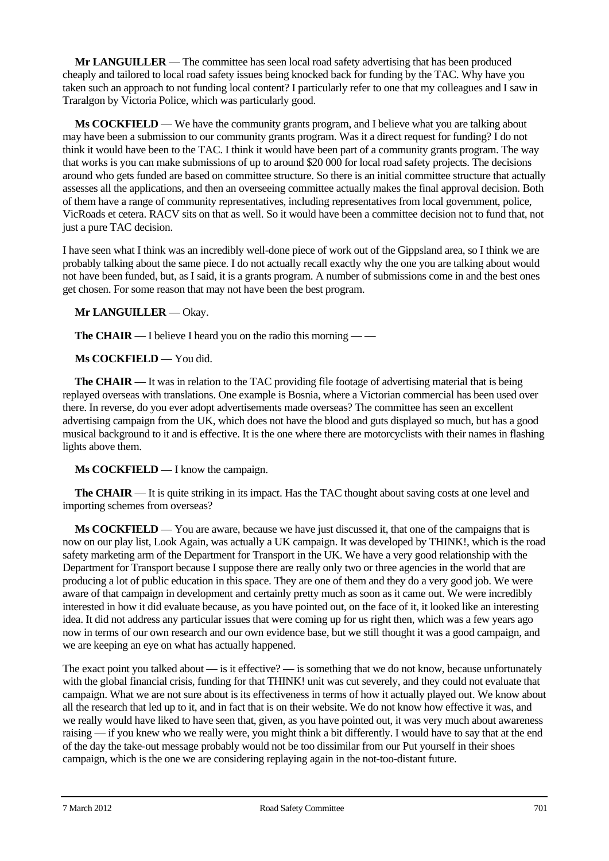**Mr LANGUILLER** — The committee has seen local road safety advertising that has been produced cheaply and tailored to local road safety issues being knocked back for funding by the TAC. Why have you taken such an approach to not funding local content? I particularly refer to one that my colleagues and I saw in Traralgon by Victoria Police, which was particularly good.

**Ms COCKFIELD** — We have the community grants program, and I believe what you are talking about may have been a submission to our community grants program. Was it a direct request for funding? I do not think it would have been to the TAC. I think it would have been part of a community grants program. The way that works is you can make submissions of up to around \$20 000 for local road safety projects. The decisions around who gets funded are based on committee structure. So there is an initial committee structure that actually assesses all the applications, and then an overseeing committee actually makes the final approval decision. Both of them have a range of community representatives, including representatives from local government, police, VicRoads et cetera. RACV sits on that as well. So it would have been a committee decision not to fund that, not just a pure TAC decision.

I have seen what I think was an incredibly well-done piece of work out of the Gippsland area, so I think we are probably talking about the same piece. I do not actually recall exactly why the one you are talking about would not have been funded, but, as I said, it is a grants program. A number of submissions come in and the best ones get chosen. For some reason that may not have been the best program.

## **Mr LANGUILLER** — Okay.

**The CHAIR** — I believe I heard you on the radio this morning — —

**Ms COCKFIELD** — You did.

**The CHAIR** — It was in relation to the TAC providing file footage of advertising material that is being replayed overseas with translations. One example is Bosnia, where a Victorian commercial has been used over there. In reverse, do you ever adopt advertisements made overseas? The committee has seen an excellent advertising campaign from the UK, which does not have the blood and guts displayed so much, but has a good musical background to it and is effective. It is the one where there are motorcyclists with their names in flashing lights above them.

**Ms COCKFIELD** — I know the campaign.

**The CHAIR** — It is quite striking in its impact. Has the TAC thought about saving costs at one level and importing schemes from overseas?

**Ms COCKFIELD** — You are aware, because we have just discussed it, that one of the campaigns that is now on our play list, Look Again, was actually a UK campaign. It was developed by THINK!, which is the road safety marketing arm of the Department for Transport in the UK. We have a very good relationship with the Department for Transport because I suppose there are really only two or three agencies in the world that are producing a lot of public education in this space. They are one of them and they do a very good job. We were aware of that campaign in development and certainly pretty much as soon as it came out. We were incredibly interested in how it did evaluate because, as you have pointed out, on the face of it, it looked like an interesting idea. It did not address any particular issues that were coming up for us right then, which was a few years ago now in terms of our own research and our own evidence base, but we still thought it was a good campaign, and we are keeping an eye on what has actually happened.

The exact point you talked about — is it effective? — is something that we do not know, because unfortunately with the global financial crisis, funding for that THINK! unit was cut severely, and they could not evaluate that campaign. What we are not sure about is its effectiveness in terms of how it actually played out. We know about all the research that led up to it, and in fact that is on their website. We do not know how effective it was, and we really would have liked to have seen that, given, as you have pointed out, it was very much about awareness raising — if you knew who we really were, you might think a bit differently. I would have to say that at the end of the day the take-out message probably would not be too dissimilar from our Put yourself in their shoes campaign, which is the one we are considering replaying again in the not-too-distant future.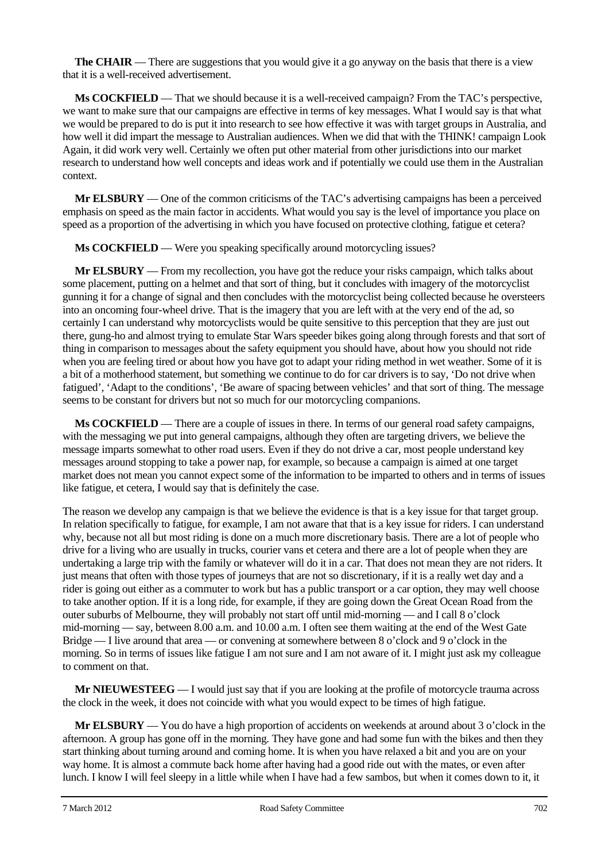**The CHAIR** — There are suggestions that you would give it a go anyway on the basis that there is a view that it is a well-received advertisement.

**Ms COCKFIELD** — That we should because it is a well-received campaign? From the TAC's perspective, we want to make sure that our campaigns are effective in terms of key messages. What I would say is that what we would be prepared to do is put it into research to see how effective it was with target groups in Australia, and how well it did impart the message to Australian audiences. When we did that with the THINK! campaign Look Again, it did work very well. Certainly we often put other material from other jurisdictions into our market research to understand how well concepts and ideas work and if potentially we could use them in the Australian context.

**Mr ELSBURY** — One of the common criticisms of the TAC's advertising campaigns has been a perceived emphasis on speed as the main factor in accidents. What would you say is the level of importance you place on speed as a proportion of the advertising in which you have focused on protective clothing, fatigue et cetera?

**Ms COCKFIELD** — Were you speaking specifically around motorcycling issues?

**Mr ELSBURY** — From my recollection, you have got the reduce your risks campaign, which talks about some placement, putting on a helmet and that sort of thing, but it concludes with imagery of the motorcyclist gunning it for a change of signal and then concludes with the motorcyclist being collected because he oversteers into an oncoming four-wheel drive. That is the imagery that you are left with at the very end of the ad, so certainly I can understand why motorcyclists would be quite sensitive to this perception that they are just out there, gung-ho and almost trying to emulate Star Wars speeder bikes going along through forests and that sort of thing in comparison to messages about the safety equipment you should have, about how you should not ride when you are feeling tired or about how you have got to adapt your riding method in wet weather. Some of it is a bit of a motherhood statement, but something we continue to do for car drivers is to say, 'Do not drive when fatigued', 'Adapt to the conditions', 'Be aware of spacing between vehicles' and that sort of thing. The message seems to be constant for drivers but not so much for our motorcycling companions.

**Ms COCKFIELD** — There are a couple of issues in there. In terms of our general road safety campaigns, with the messaging we put into general campaigns, although they often are targeting drivers, we believe the message imparts somewhat to other road users. Even if they do not drive a car, most people understand key messages around stopping to take a power nap, for example, so because a campaign is aimed at one target market does not mean you cannot expect some of the information to be imparted to others and in terms of issues like fatigue, et cetera, I would say that is definitely the case.

The reason we develop any campaign is that we believe the evidence is that is a key issue for that target group. In relation specifically to fatigue, for example, I am not aware that that is a key issue for riders. I can understand why, because not all but most riding is done on a much more discretionary basis. There are a lot of people who drive for a living who are usually in trucks, courier vans et cetera and there are a lot of people when they are undertaking a large trip with the family or whatever will do it in a car. That does not mean they are not riders. It just means that often with those types of journeys that are not so discretionary, if it is a really wet day and a rider is going out either as a commuter to work but has a public transport or a car option, they may well choose to take another option. If it is a long ride, for example, if they are going down the Great Ocean Road from the outer suburbs of Melbourne, they will probably not start off until mid-morning — and I call 8 o'clock mid-morning — say, between 8.00 a.m. and 10.00 a.m. I often see them waiting at the end of the West Gate Bridge — I live around that area — or convening at somewhere between 8 o'clock and 9 o'clock in the morning. So in terms of issues like fatigue I am not sure and I am not aware of it. I might just ask my colleague to comment on that.

**Mr NIEUWESTEEG** — I would just say that if you are looking at the profile of motorcycle trauma across the clock in the week, it does not coincide with what you would expect to be times of high fatigue.

**Mr ELSBURY** — You do have a high proportion of accidents on weekends at around about 3 o'clock in the afternoon. A group has gone off in the morning. They have gone and had some fun with the bikes and then they start thinking about turning around and coming home. It is when you have relaxed a bit and you are on your way home. It is almost a commute back home after having had a good ride out with the mates, or even after lunch. I know I will feel sleepy in a little while when I have had a few sambos, but when it comes down to it, it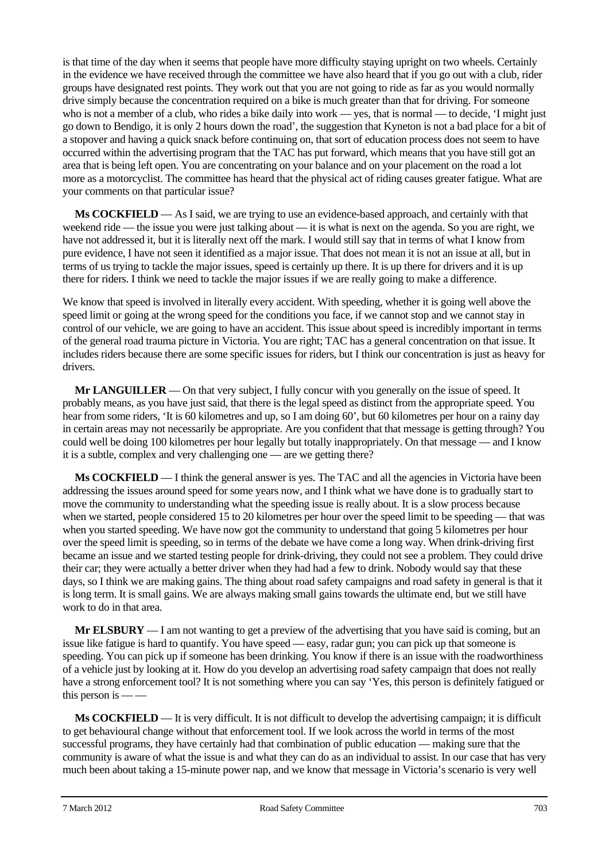is that time of the day when it seems that people have more difficulty staying upright on two wheels. Certainly in the evidence we have received through the committee we have also heard that if you go out with a club, rider groups have designated rest points. They work out that you are not going to ride as far as you would normally drive simply because the concentration required on a bike is much greater than that for driving. For someone who is not a member of a club, who rides a bike daily into work — yes, that is normal — to decide, 'I might just go down to Bendigo, it is only 2 hours down the road', the suggestion that Kyneton is not a bad place for a bit of a stopover and having a quick snack before continuing on, that sort of education process does not seem to have occurred within the advertising program that the TAC has put forward, which means that you have still got an area that is being left open. You are concentrating on your balance and on your placement on the road a lot more as a motorcyclist. The committee has heard that the physical act of riding causes greater fatigue. What are your comments on that particular issue?

**Ms COCKFIELD** — As I said, we are trying to use an evidence-based approach, and certainly with that weekend ride — the issue you were just talking about — it is what is next on the agenda. So you are right, we have not addressed it, but it is literally next off the mark. I would still say that in terms of what I know from pure evidence, I have not seen it identified as a major issue. That does not mean it is not an issue at all, but in terms of us trying to tackle the major issues, speed is certainly up there. It is up there for drivers and it is up there for riders. I think we need to tackle the major issues if we are really going to make a difference.

We know that speed is involved in literally every accident. With speeding, whether it is going well above the speed limit or going at the wrong speed for the conditions you face, if we cannot stop and we cannot stay in control of our vehicle, we are going to have an accident. This issue about speed is incredibly important in terms of the general road trauma picture in Victoria. You are right; TAC has a general concentration on that issue. It includes riders because there are some specific issues for riders, but I think our concentration is just as heavy for drivers.

**Mr LANGUILLER** — On that very subject, I fully concur with you generally on the issue of speed. It probably means, as you have just said, that there is the legal speed as distinct from the appropriate speed. You hear from some riders, 'It is 60 kilometres and up, so I am doing 60', but 60 kilometres per hour on a rainy day in certain areas may not necessarily be appropriate. Are you confident that that message is getting through? You could well be doing 100 kilometres per hour legally but totally inappropriately. On that message — and I know it is a subtle, complex and very challenging one — are we getting there?

**Ms COCKFIELD** — I think the general answer is yes. The TAC and all the agencies in Victoria have been addressing the issues around speed for some years now, and I think what we have done is to gradually start to move the community to understanding what the speeding issue is really about. It is a slow process because when we started, people considered 15 to 20 kilometres per hour over the speed limit to be speeding — that was when you started speeding. We have now got the community to understand that going 5 kilometres per hour over the speed limit is speeding, so in terms of the debate we have come a long way. When drink-driving first became an issue and we started testing people for drink-driving, they could not see a problem. They could drive their car; they were actually a better driver when they had had a few to drink. Nobody would say that these days, so I think we are making gains. The thing about road safety campaigns and road safety in general is that it is long term. It is small gains. We are always making small gains towards the ultimate end, but we still have work to do in that area.

**Mr ELSBURY** — I am not wanting to get a preview of the advertising that you have said is coming, but an issue like fatigue is hard to quantify. You have speed — easy, radar gun; you can pick up that someone is speeding. You can pick up if someone has been drinking. You know if there is an issue with the roadworthiness of a vehicle just by looking at it. How do you develop an advertising road safety campaign that does not really have a strong enforcement tool? It is not something where you can say 'Yes, this person is definitely fatigued or this person is  $-\frac{1}{x}$ 

**Ms COCKFIELD** — It is very difficult. It is not difficult to develop the advertising campaign; it is difficult to get behavioural change without that enforcement tool. If we look across the world in terms of the most successful programs, they have certainly had that combination of public education — making sure that the community is aware of what the issue is and what they can do as an individual to assist. In our case that has very much been about taking a 15-minute power nap, and we know that message in Victoria's scenario is very well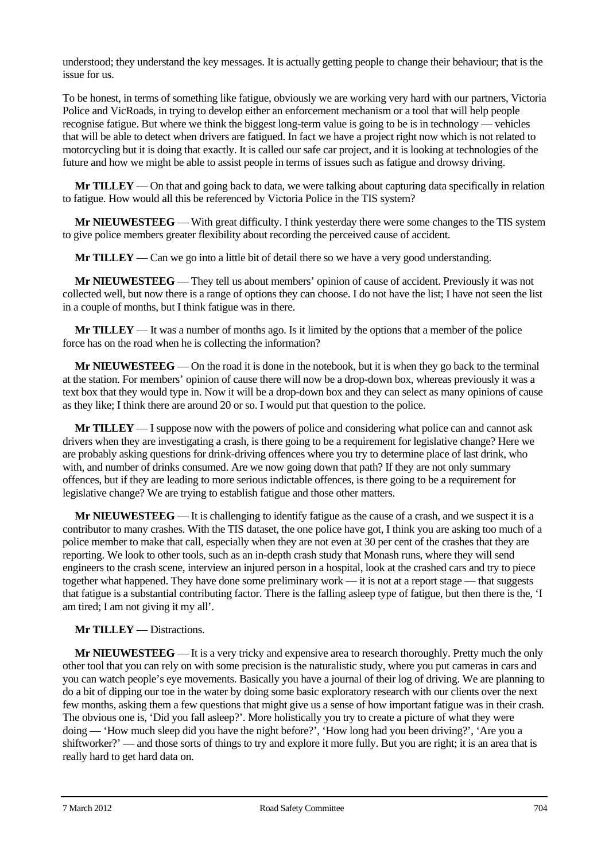understood; they understand the key messages. It is actually getting people to change their behaviour; that is the issue for us.

To be honest, in terms of something like fatigue, obviously we are working very hard with our partners, Victoria Police and VicRoads, in trying to develop either an enforcement mechanism or a tool that will help people recognise fatigue. But where we think the biggest long-term value is going to be is in technology — vehicles that will be able to detect when drivers are fatigued. In fact we have a project right now which is not related to motorcycling but it is doing that exactly. It is called our safe car project, and it is looking at technologies of the future and how we might be able to assist people in terms of issues such as fatigue and drowsy driving.

**Mr TILLEY** — On that and going back to data, we were talking about capturing data specifically in relation to fatigue. How would all this be referenced by Victoria Police in the TIS system?

**Mr NIEUWESTEEG** — With great difficulty. I think yesterday there were some changes to the TIS system to give police members greater flexibility about recording the perceived cause of accident.

**Mr TILLEY** — Can we go into a little bit of detail there so we have a very good understanding.

**Mr NIEUWESTEEG** — They tell us about members' opinion of cause of accident. Previously it was not collected well, but now there is a range of options they can choose. I do not have the list; I have not seen the list in a couple of months, but I think fatigue was in there.

**Mr TILLEY** — It was a number of months ago. Is it limited by the options that a member of the police force has on the road when he is collecting the information?

**Mr NIEUWESTEEG** — On the road it is done in the notebook, but it is when they go back to the terminal at the station. For members' opinion of cause there will now be a drop-down box, whereas previously it was a text box that they would type in. Now it will be a drop-down box and they can select as many opinions of cause as they like; I think there are around 20 or so. I would put that question to the police.

**Mr TILLEY** — I suppose now with the powers of police and considering what police can and cannot ask drivers when they are investigating a crash, is there going to be a requirement for legislative change? Here we are probably asking questions for drink-driving offences where you try to determine place of last drink, who with, and number of drinks consumed. Are we now going down that path? If they are not only summary offences, but if they are leading to more serious indictable offences, is there going to be a requirement for legislative change? We are trying to establish fatigue and those other matters.

**Mr NIEUWESTEEG** — It is challenging to identify fatigue as the cause of a crash, and we suspect it is a contributor to many crashes. With the TIS dataset, the one police have got, I think you are asking too much of a police member to make that call, especially when they are not even at 30 per cent of the crashes that they are reporting. We look to other tools, such as an in-depth crash study that Monash runs, where they will send engineers to the crash scene, interview an injured person in a hospital, look at the crashed cars and try to piece together what happened. They have done some preliminary work — it is not at a report stage — that suggests that fatigue is a substantial contributing factor. There is the falling asleep type of fatigue, but then there is the, 'I am tired; I am not giving it my all'.

#### **Mr TILLEY** — Distractions.

**Mr NIEUWESTEEG** — It is a very tricky and expensive area to research thoroughly. Pretty much the only other tool that you can rely on with some precision is the naturalistic study, where you put cameras in cars and you can watch people's eye movements. Basically you have a journal of their log of driving. We are planning to do a bit of dipping our toe in the water by doing some basic exploratory research with our clients over the next few months, asking them a few questions that might give us a sense of how important fatigue was in their crash. The obvious one is, 'Did you fall asleep?'. More holistically you try to create a picture of what they were doing — 'How much sleep did you have the night before?', 'How long had you been driving?', 'Are you a shiftworker?' — and those sorts of things to try and explore it more fully. But you are right; it is an area that is really hard to get hard data on.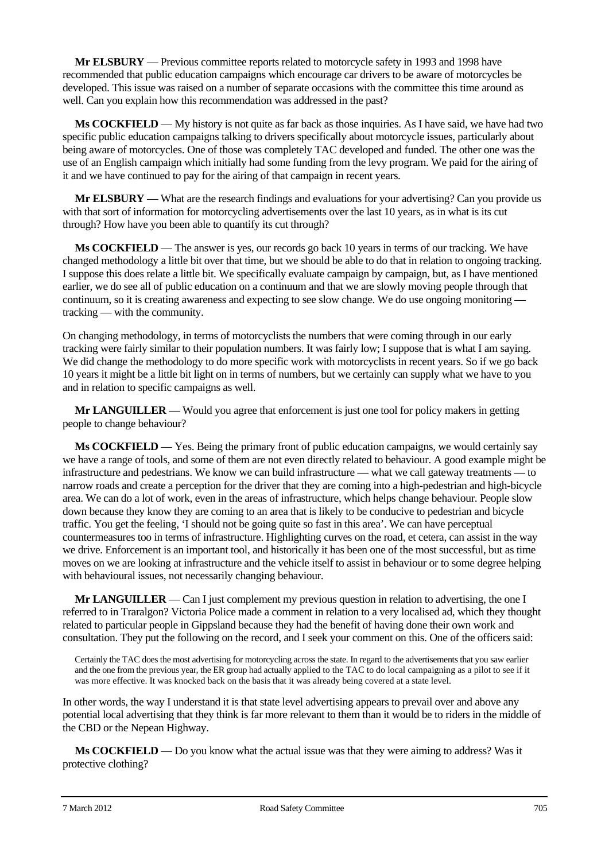**Mr ELSBURY** — Previous committee reports related to motorcycle safety in 1993 and 1998 have recommended that public education campaigns which encourage car drivers to be aware of motorcycles be developed. This issue was raised on a number of separate occasions with the committee this time around as well. Can you explain how this recommendation was addressed in the past?

**Ms COCKFIELD** — My history is not quite as far back as those inquiries. As I have said, we have had two specific public education campaigns talking to drivers specifically about motorcycle issues, particularly about being aware of motorcycles. One of those was completely TAC developed and funded. The other one was the use of an English campaign which initially had some funding from the levy program. We paid for the airing of it and we have continued to pay for the airing of that campaign in recent years.

**Mr ELSBURY** — What are the research findings and evaluations for your advertising? Can you provide us with that sort of information for motorcycling advertisements over the last 10 years, as in what is its cut through? How have you been able to quantify its cut through?

**Ms COCKFIELD** — The answer is yes, our records go back 10 years in terms of our tracking. We have changed methodology a little bit over that time, but we should be able to do that in relation to ongoing tracking. I suppose this does relate a little bit. We specifically evaluate campaign by campaign, but, as I have mentioned earlier, we do see all of public education on a continuum and that we are slowly moving people through that continuum, so it is creating awareness and expecting to see slow change. We do use ongoing monitoring tracking — with the community.

On changing methodology, in terms of motorcyclists the numbers that were coming through in our early tracking were fairly similar to their population numbers. It was fairly low; I suppose that is what I am saying. We did change the methodology to do more specific work with motorcyclists in recent years. So if we go back 10 years it might be a little bit light on in terms of numbers, but we certainly can supply what we have to you and in relation to specific campaigns as well.

**Mr LANGUILLER** — Would you agree that enforcement is just one tool for policy makers in getting people to change behaviour?

**Ms COCKFIELD** — Yes. Being the primary front of public education campaigns, we would certainly say we have a range of tools, and some of them are not even directly related to behaviour. A good example might be infrastructure and pedestrians. We know we can build infrastructure — what we call gateway treatments — to narrow roads and create a perception for the driver that they are coming into a high-pedestrian and high-bicycle area. We can do a lot of work, even in the areas of infrastructure, which helps change behaviour. People slow down because they know they are coming to an area that is likely to be conducive to pedestrian and bicycle traffic. You get the feeling, 'I should not be going quite so fast in this area'. We can have perceptual countermeasures too in terms of infrastructure. Highlighting curves on the road, et cetera, can assist in the way we drive. Enforcement is an important tool, and historically it has been one of the most successful, but as time moves on we are looking at infrastructure and the vehicle itself to assist in behaviour or to some degree helping with behavioural issues, not necessarily changing behaviour.

**Mr LANGUILLER** — Can I just complement my previous question in relation to advertising, the one I referred to in Traralgon? Victoria Police made a comment in relation to a very localised ad, which they thought related to particular people in Gippsland because they had the benefit of having done their own work and consultation. They put the following on the record, and I seek your comment on this. One of the officers said:

Certainly the TAC does the most advertising for motorcycling across the state. In regard to the advertisements that you saw earlier and the one from the previous year, the ER group had actually applied to the TAC to do local campaigning as a pilot to see if it was more effective. It was knocked back on the basis that it was already being covered at a state level.

In other words, the way I understand it is that state level advertising appears to prevail over and above any potential local advertising that they think is far more relevant to them than it would be to riders in the middle of the CBD or the Nepean Highway.

**Ms COCKFIELD** — Do you know what the actual issue was that they were aiming to address? Was it protective clothing?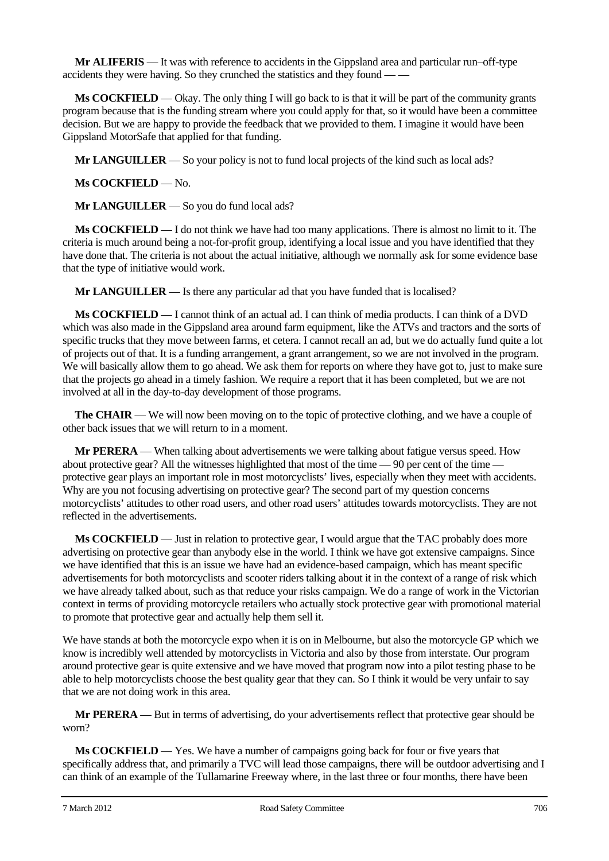**Mr ALIFERIS** — It was with reference to accidents in the Gippsland area and particular run–off-type accidents they were having. So they crunched the statistics and they found — —

**Ms COCKFIELD** — Okay. The only thing I will go back to is that it will be part of the community grants program because that is the funding stream where you could apply for that, so it would have been a committee decision. But we are happy to provide the feedback that we provided to them. I imagine it would have been Gippsland MotorSafe that applied for that funding.

**Mr LANGUILLER** — So your policy is not to fund local projects of the kind such as local ads?

**Ms COCKFIELD** — No.

**Mr LANGUILLER** — So you do fund local ads?

**Ms COCKFIELD** — I do not think we have had too many applications. There is almost no limit to it. The criteria is much around being a not-for-profit group, identifying a local issue and you have identified that they have done that. The criteria is not about the actual initiative, although we normally ask for some evidence base that the type of initiative would work.

**Mr LANGUILLER** — Is there any particular ad that you have funded that is localised?

**Ms COCKFIELD** — I cannot think of an actual ad. I can think of media products. I can think of a DVD which was also made in the Gippsland area around farm equipment, like the ATVs and tractors and the sorts of specific trucks that they move between farms, et cetera. I cannot recall an ad, but we do actually fund quite a lot of projects out of that. It is a funding arrangement, a grant arrangement, so we are not involved in the program. We will basically allow them to go ahead. We ask them for reports on where they have got to, just to make sure that the projects go ahead in a timely fashion. We require a report that it has been completed, but we are not involved at all in the day-to-day development of those programs.

**The CHAIR** — We will now been moving on to the topic of protective clothing, and we have a couple of other back issues that we will return to in a moment.

**Mr PERERA** — When talking about advertisements we were talking about fatigue versus speed. How about protective gear? All the witnesses highlighted that most of the time — 90 per cent of the time protective gear plays an important role in most motorcyclists' lives, especially when they meet with accidents. Why are you not focusing advertising on protective gear? The second part of my question concerns motorcyclists' attitudes to other road users, and other road users' attitudes towards motorcyclists. They are not reflected in the advertisements.

**Ms COCKFIELD** — Just in relation to protective gear, I would argue that the TAC probably does more advertising on protective gear than anybody else in the world. I think we have got extensive campaigns. Since we have identified that this is an issue we have had an evidence-based campaign, which has meant specific advertisements for both motorcyclists and scooter riders talking about it in the context of a range of risk which we have already talked about, such as that reduce your risks campaign. We do a range of work in the Victorian context in terms of providing motorcycle retailers who actually stock protective gear with promotional material to promote that protective gear and actually help them sell it.

We have stands at both the motorcycle expo when it is on in Melbourne, but also the motorcycle GP which we know is incredibly well attended by motorcyclists in Victoria and also by those from interstate. Our program around protective gear is quite extensive and we have moved that program now into a pilot testing phase to be able to help motorcyclists choose the best quality gear that they can. So I think it would be very unfair to say that we are not doing work in this area.

**Mr PERERA** — But in terms of advertising, do your advertisements reflect that protective gear should be worn?

**Ms COCKFIELD** — Yes. We have a number of campaigns going back for four or five years that specifically address that, and primarily a TVC will lead those campaigns, there will be outdoor advertising and I can think of an example of the Tullamarine Freeway where, in the last three or four months, there have been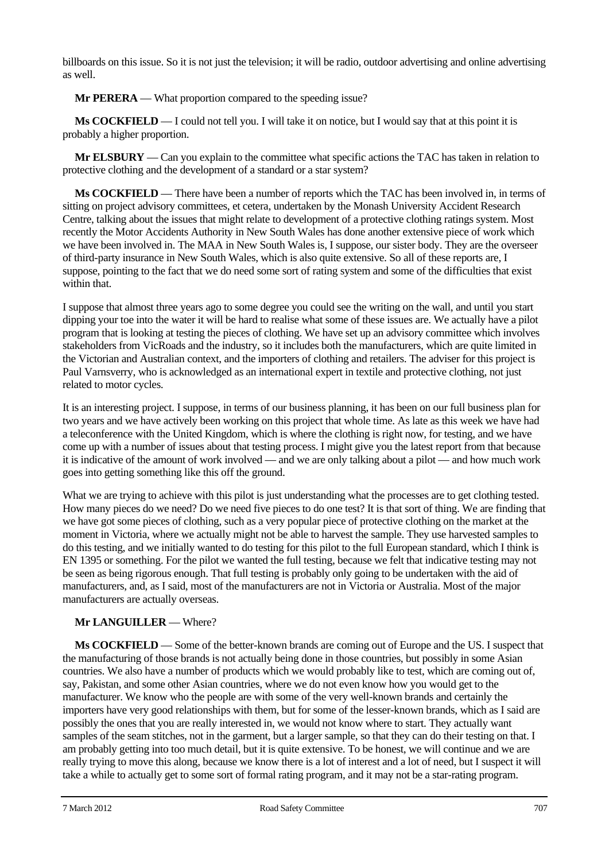billboards on this issue. So it is not just the television; it will be radio, outdoor advertising and online advertising as well.

**Mr PERERA** — What proportion compared to the speeding issue?

**Ms COCKFIELD** — I could not tell you. I will take it on notice, but I would say that at this point it is probably a higher proportion.

**Mr ELSBURY** — Can you explain to the committee what specific actions the TAC has taken in relation to protective clothing and the development of a standard or a star system?

**Ms COCKFIELD** — There have been a number of reports which the TAC has been involved in, in terms of sitting on project advisory committees, et cetera, undertaken by the Monash University Accident Research Centre, talking about the issues that might relate to development of a protective clothing ratings system. Most recently the Motor Accidents Authority in New South Wales has done another extensive piece of work which we have been involved in. The MAA in New South Wales is, I suppose, our sister body. They are the overseer of third-party insurance in New South Wales, which is also quite extensive. So all of these reports are, I suppose, pointing to the fact that we do need some sort of rating system and some of the difficulties that exist within that.

I suppose that almost three years ago to some degree you could see the writing on the wall, and until you start dipping your toe into the water it will be hard to realise what some of these issues are. We actually have a pilot program that is looking at testing the pieces of clothing. We have set up an advisory committee which involves stakeholders from VicRoads and the industry, so it includes both the manufacturers, which are quite limited in the Victorian and Australian context, and the importers of clothing and retailers. The adviser for this project is Paul Varnsverry, who is acknowledged as an international expert in textile and protective clothing, not just related to motor cycles.

It is an interesting project. I suppose, in terms of our business planning, it has been on our full business plan for two years and we have actively been working on this project that whole time. As late as this week we have had a teleconference with the United Kingdom, which is where the clothing is right now, for testing, and we have come up with a number of issues about that testing process. I might give you the latest report from that because it is indicative of the amount of work involved — and we are only talking about a pilot — and how much work goes into getting something like this off the ground.

What we are trying to achieve with this pilot is just understanding what the processes are to get clothing tested. How many pieces do we need? Do we need five pieces to do one test? It is that sort of thing. We are finding that we have got some pieces of clothing, such as a very popular piece of protective clothing on the market at the moment in Victoria, where we actually might not be able to harvest the sample. They use harvested samples to do this testing, and we initially wanted to do testing for this pilot to the full European standard, which I think is EN 1395 or something. For the pilot we wanted the full testing, because we felt that indicative testing may not be seen as being rigorous enough. That full testing is probably only going to be undertaken with the aid of manufacturers, and, as I said, most of the manufacturers are not in Victoria or Australia. Most of the major manufacturers are actually overseas.

## **Mr LANGUILLER** — Where?

**Ms COCKFIELD** — Some of the better-known brands are coming out of Europe and the US. I suspect that the manufacturing of those brands is not actually being done in those countries, but possibly in some Asian countries. We also have a number of products which we would probably like to test, which are coming out of, say, Pakistan, and some other Asian countries, where we do not even know how you would get to the manufacturer. We know who the people are with some of the very well-known brands and certainly the importers have very good relationships with them, but for some of the lesser-known brands, which as I said are possibly the ones that you are really interested in, we would not know where to start. They actually want samples of the seam stitches, not in the garment, but a larger sample, so that they can do their testing on that. I am probably getting into too much detail, but it is quite extensive. To be honest, we will continue and we are really trying to move this along, because we know there is a lot of interest and a lot of need, but I suspect it will take a while to actually get to some sort of formal rating program, and it may not be a star-rating program.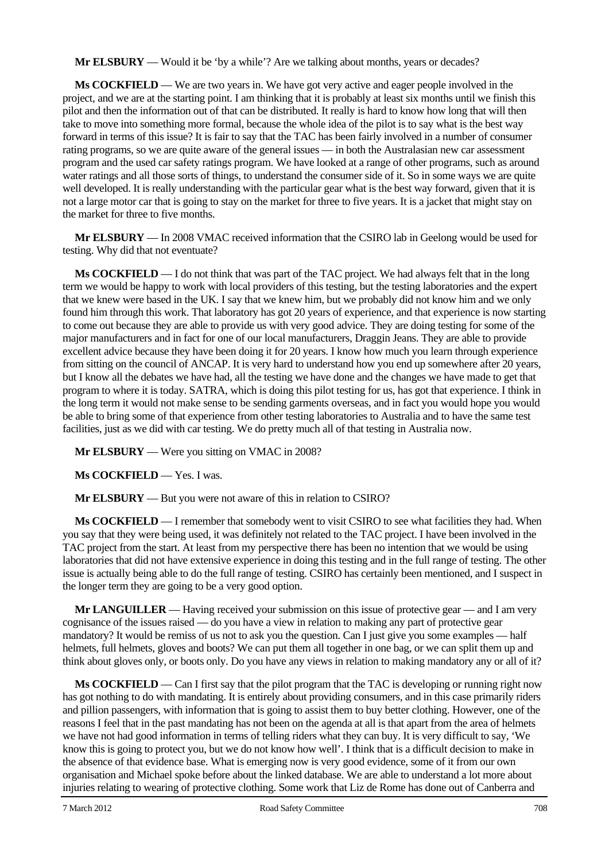**Mr ELSBURY** — Would it be 'by a while'? Are we talking about months, years or decades?

**Ms COCKFIELD** — We are two years in. We have got very active and eager people involved in the project, and we are at the starting point. I am thinking that it is probably at least six months until we finish this pilot and then the information out of that can be distributed. It really is hard to know how long that will then take to move into something more formal, because the whole idea of the pilot is to say what is the best way forward in terms of this issue? It is fair to say that the TAC has been fairly involved in a number of consumer rating programs, so we are quite aware of the general issues — in both the Australasian new car assessment program and the used car safety ratings program. We have looked at a range of other programs, such as around water ratings and all those sorts of things, to understand the consumer side of it. So in some ways we are quite well developed. It is really understanding with the particular gear what is the best way forward, given that it is not a large motor car that is going to stay on the market for three to five years. It is a jacket that might stay on the market for three to five months.

**Mr ELSBURY** — In 2008 VMAC received information that the CSIRO lab in Geelong would be used for testing. Why did that not eventuate?

**Ms COCKFIELD** — I do not think that was part of the TAC project. We had always felt that in the long term we would be happy to work with local providers of this testing, but the testing laboratories and the expert that we knew were based in the UK. I say that we knew him, but we probably did not know him and we only found him through this work. That laboratory has got 20 years of experience, and that experience is now starting to come out because they are able to provide us with very good advice. They are doing testing for some of the major manufacturers and in fact for one of our local manufacturers, Draggin Jeans. They are able to provide excellent advice because they have been doing it for 20 years. I know how much you learn through experience from sitting on the council of ANCAP. It is very hard to understand how you end up somewhere after 20 years, but I know all the debates we have had, all the testing we have done and the changes we have made to get that program to where it is today. SATRA, which is doing this pilot testing for us, has got that experience. I think in the long term it would not make sense to be sending garments overseas, and in fact you would hope you would be able to bring some of that experience from other testing laboratories to Australia and to have the same test facilities, just as we did with car testing. We do pretty much all of that testing in Australia now.

**Mr ELSBURY** — Were you sitting on VMAC in 2008?

**Ms COCKFIELD** — Yes. I was.

**Mr ELSBURY** — But you were not aware of this in relation to CSIRO?

**Ms COCKFIELD** — I remember that somebody went to visit CSIRO to see what facilities they had. When you say that they were being used, it was definitely not related to the TAC project. I have been involved in the TAC project from the start. At least from my perspective there has been no intention that we would be using laboratories that did not have extensive experience in doing this testing and in the full range of testing. The other issue is actually being able to do the full range of testing. CSIRO has certainly been mentioned, and I suspect in the longer term they are going to be a very good option.

**Mr LANGUILLER** — Having received your submission on this issue of protective gear — and I am very cognisance of the issues raised — do you have a view in relation to making any part of protective gear mandatory? It would be remiss of us not to ask you the question. Can I just give you some examples — half helmets, full helmets, gloves and boots? We can put them all together in one bag, or we can split them up and think about gloves only, or boots only. Do you have any views in relation to making mandatory any or all of it?

**Ms COCKFIELD** — Can I first say that the pilot program that the TAC is developing or running right now has got nothing to do with mandating. It is entirely about providing consumers, and in this case primarily riders and pillion passengers, with information that is going to assist them to buy better clothing. However, one of the reasons I feel that in the past mandating has not been on the agenda at all is that apart from the area of helmets we have not had good information in terms of telling riders what they can buy. It is very difficult to say, 'We know this is going to protect you, but we do not know how well'. I think that is a difficult decision to make in the absence of that evidence base. What is emerging now is very good evidence, some of it from our own organisation and Michael spoke before about the linked database. We are able to understand a lot more about injuries relating to wearing of protective clothing. Some work that Liz de Rome has done out of Canberra and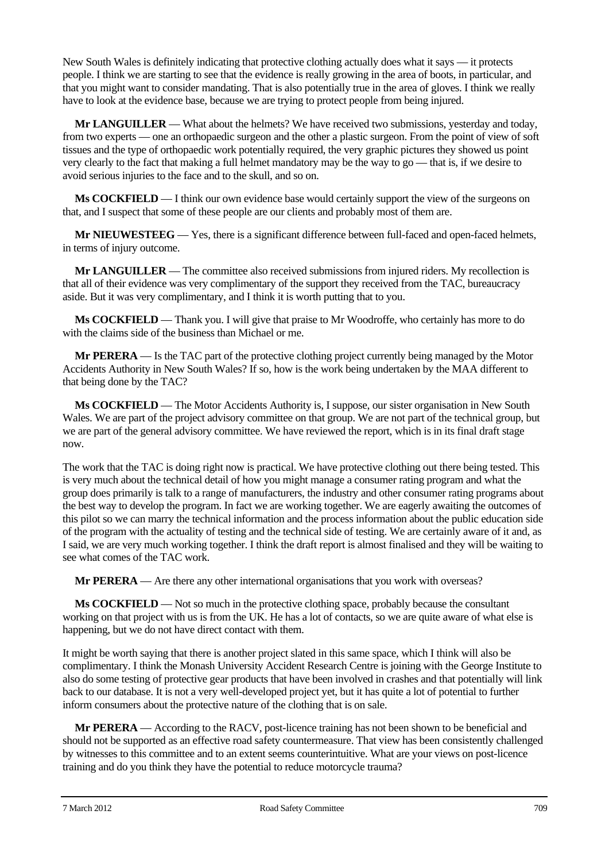New South Wales is definitely indicating that protective clothing actually does what it says — it protects people. I think we are starting to see that the evidence is really growing in the area of boots, in particular, and that you might want to consider mandating. That is also potentially true in the area of gloves. I think we really have to look at the evidence base, because we are trying to protect people from being injured.

**Mr LANGUILLER** — What about the helmets? We have received two submissions, yesterday and today, from two experts — one an orthopaedic surgeon and the other a plastic surgeon. From the point of view of soft tissues and the type of orthopaedic work potentially required, the very graphic pictures they showed us point very clearly to the fact that making a full helmet mandatory may be the way to go — that is, if we desire to avoid serious injuries to the face and to the skull, and so on.

**Ms COCKFIELD** — I think our own evidence base would certainly support the view of the surgeons on that, and I suspect that some of these people are our clients and probably most of them are.

**Mr NIEUWESTEEG** — Yes, there is a significant difference between full-faced and open-faced helmets, in terms of injury outcome.

**Mr LANGUILLER** — The committee also received submissions from injured riders. My recollection is that all of their evidence was very complimentary of the support they received from the TAC, bureaucracy aside. But it was very complimentary, and I think it is worth putting that to you.

**Ms COCKFIELD** — Thank you. I will give that praise to Mr Woodroffe, who certainly has more to do with the claims side of the business than Michael or me.

**Mr PERERA** — Is the TAC part of the protective clothing project currently being managed by the Motor Accidents Authority in New South Wales? If so, how is the work being undertaken by the MAA different to that being done by the TAC?

**Ms COCKFIELD** — The Motor Accidents Authority is, I suppose, our sister organisation in New South Wales. We are part of the project advisory committee on that group. We are not part of the technical group, but we are part of the general advisory committee. We have reviewed the report, which is in its final draft stage now.

The work that the TAC is doing right now is practical. We have protective clothing out there being tested. This is very much about the technical detail of how you might manage a consumer rating program and what the group does primarily is talk to a range of manufacturers, the industry and other consumer rating programs about the best way to develop the program. In fact we are working together. We are eagerly awaiting the outcomes of this pilot so we can marry the technical information and the process information about the public education side of the program with the actuality of testing and the technical side of testing. We are certainly aware of it and, as I said, we are very much working together. I think the draft report is almost finalised and they will be waiting to see what comes of the TAC work.

**Mr PERERA** — Are there any other international organisations that you work with overseas?

**Ms COCKFIELD** — Not so much in the protective clothing space, probably because the consultant working on that project with us is from the UK. He has a lot of contacts, so we are quite aware of what else is happening, but we do not have direct contact with them.

It might be worth saying that there is another project slated in this same space, which I think will also be complimentary. I think the Monash University Accident Research Centre is joining with the George Institute to also do some testing of protective gear products that have been involved in crashes and that potentially will link back to our database. It is not a very well-developed project yet, but it has quite a lot of potential to further inform consumers about the protective nature of the clothing that is on sale.

**Mr PERERA** — According to the RACV, post-licence training has not been shown to be beneficial and should not be supported as an effective road safety countermeasure. That view has been consistently challenged by witnesses to this committee and to an extent seems counterintuitive. What are your views on post-licence training and do you think they have the potential to reduce motorcycle trauma?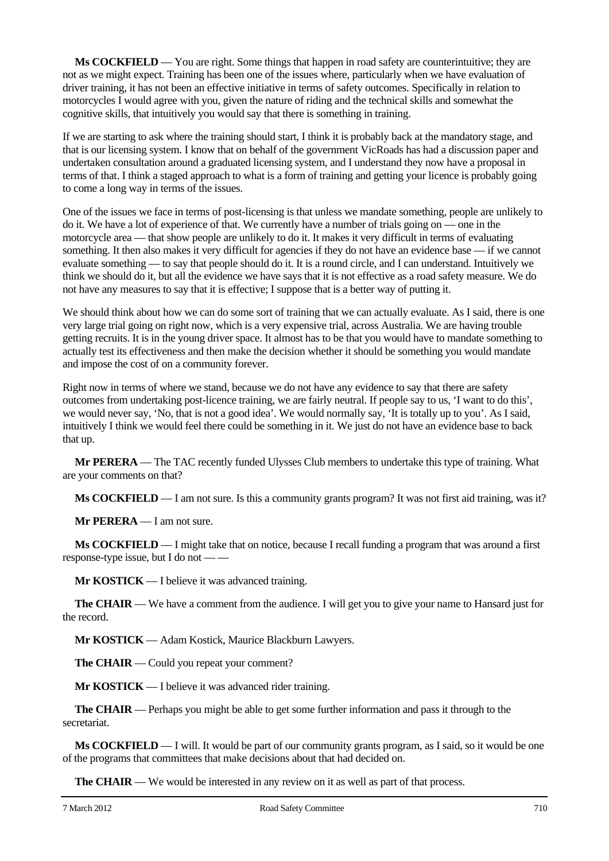**Ms COCKFIELD** — You are right. Some things that happen in road safety are counterintuitive; they are not as we might expect. Training has been one of the issues where, particularly when we have evaluation of driver training, it has not been an effective initiative in terms of safety outcomes. Specifically in relation to motorcycles I would agree with you, given the nature of riding and the technical skills and somewhat the cognitive skills, that intuitively you would say that there is something in training.

If we are starting to ask where the training should start, I think it is probably back at the mandatory stage, and that is our licensing system. I know that on behalf of the government VicRoads has had a discussion paper and undertaken consultation around a graduated licensing system, and I understand they now have a proposal in terms of that. I think a staged approach to what is a form of training and getting your licence is probably going to come a long way in terms of the issues.

One of the issues we face in terms of post-licensing is that unless we mandate something, people are unlikely to do it. We have a lot of experience of that. We currently have a number of trials going on — one in the motorcycle area — that show people are unlikely to do it. It makes it very difficult in terms of evaluating something. It then also makes it very difficult for agencies if they do not have an evidence base — if we cannot evaluate something — to say that people should do it. It is a round circle, and I can understand. Intuitively we think we should do it, but all the evidence we have says that it is not effective as a road safety measure. We do not have any measures to say that it is effective; I suppose that is a better way of putting it.

We should think about how we can do some sort of training that we can actually evaluate. As I said, there is one very large trial going on right now, which is a very expensive trial, across Australia. We are having trouble getting recruits. It is in the young driver space. It almost has to be that you would have to mandate something to actually test its effectiveness and then make the decision whether it should be something you would mandate and impose the cost of on a community forever.

Right now in terms of where we stand, because we do not have any evidence to say that there are safety outcomes from undertaking post-licence training, we are fairly neutral. If people say to us, 'I want to do this', we would never say, 'No, that is not a good idea'. We would normally say, 'It is totally up to you'. As I said, intuitively I think we would feel there could be something in it. We just do not have an evidence base to back that up.

**Mr PERERA** — The TAC recently funded Ulysses Club members to undertake this type of training. What are your comments on that?

**Ms COCKFIELD** — I am not sure. Is this a community grants program? It was not first aid training, was it?

**Mr PERERA** — I am not sure.

**Ms COCKFIELD** — I might take that on notice, because I recall funding a program that was around a first response-type issue, but I do not — —

**Mr KOSTICK** — I believe it was advanced training.

**The CHAIR** — We have a comment from the audience. I will get you to give your name to Hansard just for the record.

**Mr KOSTICK** — Adam Kostick, Maurice Blackburn Lawyers.

**The CHAIR** — Could you repeat your comment?

**Mr KOSTICK** — I believe it was advanced rider training.

**The CHAIR** — Perhaps you might be able to get some further information and pass it through to the secretariat.

**Ms COCKFIELD** — I will. It would be part of our community grants program, as I said, so it would be one of the programs that committees that make decisions about that had decided on.

**The CHAIR** — We would be interested in any review on it as well as part of that process.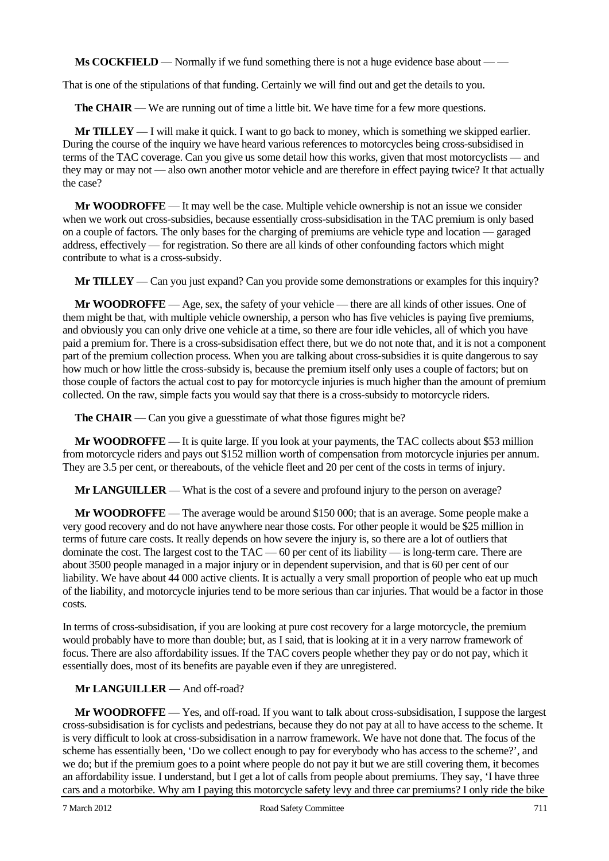**Ms COCKFIELD** — Normally if we fund something there is not a huge evidence base about — —

That is one of the stipulations of that funding. Certainly we will find out and get the details to you.

**The CHAIR** — We are running out of time a little bit. We have time for a few more questions.

**Mr TILLEY** — I will make it quick. I want to go back to money, which is something we skipped earlier. During the course of the inquiry we have heard various references to motorcycles being cross-subsidised in terms of the TAC coverage. Can you give us some detail how this works, given that most motorcyclists — and they may or may not — also own another motor vehicle and are therefore in effect paying twice? It that actually the case?

**Mr WOODROFFE** — It may well be the case. Multiple vehicle ownership is not an issue we consider when we work out cross-subsidies, because essentially cross-subsidisation in the TAC premium is only based on a couple of factors. The only bases for the charging of premiums are vehicle type and location — garaged address, effectively — for registration. So there are all kinds of other confounding factors which might contribute to what is a cross-subsidy.

**Mr TILLEY** — Can you just expand? Can you provide some demonstrations or examples for this inquiry?

**Mr WOODROFFE** — Age, sex, the safety of your vehicle — there are all kinds of other issues. One of them might be that, with multiple vehicle ownership, a person who has five vehicles is paying five premiums, and obviously you can only drive one vehicle at a time, so there are four idle vehicles, all of which you have paid a premium for. There is a cross-subsidisation effect there, but we do not note that, and it is not a component part of the premium collection process. When you are talking about cross-subsidies it is quite dangerous to say how much or how little the cross-subsidy is, because the premium itself only uses a couple of factors; but on those couple of factors the actual cost to pay for motorcycle injuries is much higher than the amount of premium collected. On the raw, simple facts you would say that there is a cross-subsidy to motorcycle riders.

**The CHAIR** — Can you give a guesstimate of what those figures might be?

**Mr WOODROFFE** — It is quite large. If you look at your payments, the TAC collects about \$53 million from motorcycle riders and pays out \$152 million worth of compensation from motorcycle injuries per annum. They are 3.5 per cent, or thereabouts, of the vehicle fleet and 20 per cent of the costs in terms of injury.

**Mr LANGUILLER** — What is the cost of a severe and profound injury to the person on average?

**Mr WOODROFFE** — The average would be around \$150 000; that is an average. Some people make a very good recovery and do not have anywhere near those costs. For other people it would be \$25 million in terms of future care costs. It really depends on how severe the injury is, so there are a lot of outliers that dominate the cost. The largest cost to the  $TAC = 60$  per cent of its liability  $-$  is long-term care. There are about 3500 people managed in a major injury or in dependent supervision, and that is 60 per cent of our liability. We have about 44 000 active clients. It is actually a very small proportion of people who eat up much of the liability, and motorcycle injuries tend to be more serious than car injuries. That would be a factor in those costs.

In terms of cross-subsidisation, if you are looking at pure cost recovery for a large motorcycle, the premium would probably have to more than double; but, as I said, that is looking at it in a very narrow framework of focus. There are also affordability issues. If the TAC covers people whether they pay or do not pay, which it essentially does, most of its benefits are payable even if they are unregistered.

#### **Mr LANGUILLER** — And off-road?

**Mr WOODROFFE** — Yes, and off-road. If you want to talk about cross-subsidisation, I suppose the largest cross-subsidisation is for cyclists and pedestrians, because they do not pay at all to have access to the scheme. It is very difficult to look at cross-subsidisation in a narrow framework. We have not done that. The focus of the scheme has essentially been, 'Do we collect enough to pay for everybody who has access to the scheme?', and we do; but if the premium goes to a point where people do not pay it but we are still covering them, it becomes an affordability issue. I understand, but I get a lot of calls from people about premiums. They say, 'I have three cars and a motorbike. Why am I paying this motorcycle safety levy and three car premiums? I only ride the bike